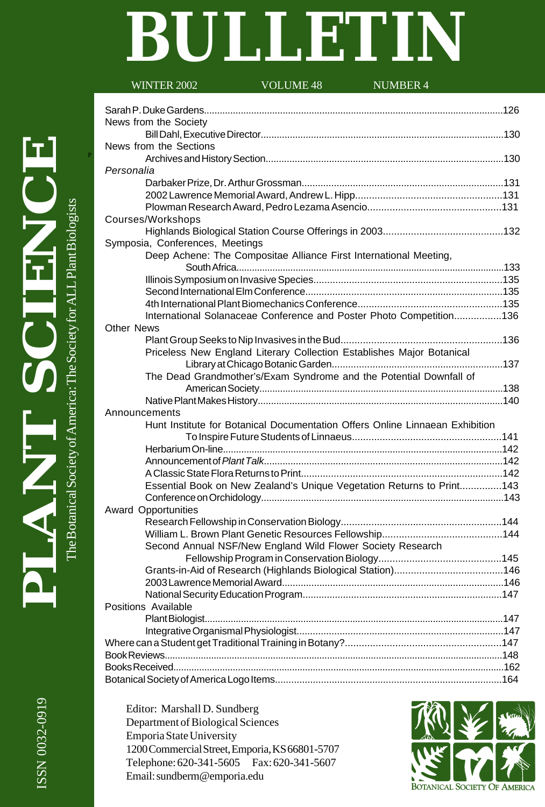# **BULLETIN**

| <b>WINTER 2002</b>              | <b>VOLUME 48</b>                                                  | <b>NUMBER 4</b>                                                              |  |
|---------------------------------|-------------------------------------------------------------------|------------------------------------------------------------------------------|--|
|                                 |                                                                   |                                                                              |  |
|                                 |                                                                   |                                                                              |  |
| News from the Society           |                                                                   |                                                                              |  |
|                                 |                                                                   |                                                                              |  |
| News from the Sections          |                                                                   |                                                                              |  |
| Personalia                      |                                                                   |                                                                              |  |
|                                 |                                                                   |                                                                              |  |
|                                 |                                                                   |                                                                              |  |
|                                 |                                                                   |                                                                              |  |
| Courses/Workshops               |                                                                   |                                                                              |  |
|                                 |                                                                   |                                                                              |  |
| Symposia, Conferences, Meetings |                                                                   |                                                                              |  |
|                                 | Deep Achene: The Compositae Alliance First International Meeting, |                                                                              |  |
|                                 |                                                                   |                                                                              |  |
|                                 |                                                                   |                                                                              |  |
|                                 |                                                                   |                                                                              |  |
|                                 |                                                                   |                                                                              |  |
|                                 |                                                                   | International Solanaceae Conference and Poster Photo Competition136          |  |
| <b>Other News</b>               |                                                                   |                                                                              |  |
|                                 |                                                                   |                                                                              |  |
|                                 |                                                                   | Priceless New England Literary Collection Establishes Major Botanical        |  |
|                                 |                                                                   |                                                                              |  |
|                                 |                                                                   | The Dead Grandmother's/Exam Syndrome and the Potential Downfall of           |  |
|                                 |                                                                   |                                                                              |  |
|                                 |                                                                   |                                                                              |  |
| Announcements                   |                                                                   |                                                                              |  |
|                                 |                                                                   | Hunt Institute for Botanical Documentation Offers Online Linnaean Exhibition |  |
|                                 |                                                                   |                                                                              |  |
|                                 |                                                                   |                                                                              |  |
|                                 |                                                                   |                                                                              |  |
|                                 |                                                                   |                                                                              |  |
|                                 |                                                                   | Essential Book on New Zealand's Unique Vegetation Returns to Print143        |  |
|                                 |                                                                   |                                                                              |  |
| <b>Award Opportunities</b>      |                                                                   |                                                                              |  |
|                                 |                                                                   |                                                                              |  |
|                                 |                                                                   |                                                                              |  |
|                                 | Second Annual NSF/New England Wild Flower Society Research        |                                                                              |  |
|                                 |                                                                   |                                                                              |  |
|                                 |                                                                   |                                                                              |  |
|                                 |                                                                   | 2003 Lawrence Memorial Award New York 146                                    |  |
|                                 |                                                                   |                                                                              |  |
| Positions Available             |                                                                   |                                                                              |  |
|                                 |                                                                   |                                                                              |  |
|                                 |                                                                   |                                                                              |  |
|                                 |                                                                   |                                                                              |  |
|                                 |                                                                   |                                                                              |  |
|                                 |                                                                   |                                                                              |  |
|                                 |                                                                   |                                                                              |  |

Editor: Marshall D. Sundberg Department of Biological Sciences Emporia State University 1200 Commercial Street, Emporia, KS 66801-5707 Telephone: 620-341-5605 Fax: 620-341-5607 Email: sundberm@emporia.edu

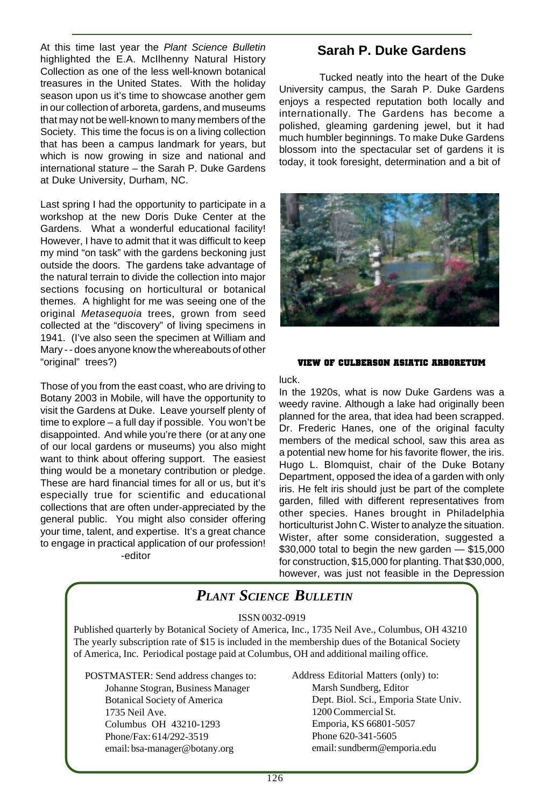At this time last year the Plant Science Bulletin highlighted the E.A. McIlhenny Natural History Collection as one of the less well-known botanical treasures in the United States. With the holiday season upon us it's time to showcase another gem in our collection of arboreta, gardens, and museums that may not be well-known to many members of the Society. This time the focus is on a living collection that has been a campus landmark for years, but which is now growing in size and national and international stature – the Sarah P. Duke Gardens at Duke University, Durham, NC.

Last spring I had the opportunity to participate in a workshop at the new Doris Duke Center at the Gardens. What a wonderful educational facility! However, I have to admit that it was difficult to keep my mind "on task" with the gardens beckoning just outside the doors. The gardens take advantage of the natural terrain to divide the collection into major sections focusing on horticultural or botanical themes. A highlight for me was seeing one of the original Metasequoia trees, grown from seed collected at the "discovery" of living specimens in 1941. (I've also seen the specimen at William and Mary - - does anyone know the whereabouts of other "original" trees?)

Those of you from the east coast, who are driving to Botany 2003 in Mobile, will have the opportunity to visit the Gardens at Duke. Leave yourself plenty of time to explore – a full day if possible. You won't be disappointed. And while you're there (or at any one of our local gardens or museums) you also might want to think about offering support. The easiest thing would be a monetary contribution or pledge. These are hard financial times for all or us, but it's especially true for scientific and educational collections that are often under-appreciated by the general public. You might also consider offering your time, talent, and expertise. It's a great chance to engage in practical application of our profession! -editor

#### **Sarah P. Duke Gardens**

Tucked neatly into the heart of the Duke University campus, the Sarah P. Duke Gardens enjoys a respected reputation both locally and internationally. The Gardens has become a polished, gleaming gardening jewel, but it had much humbler beginnings. To make Duke Gardens blossom into the spectacular set of gardens it is today, it took foresight, determination and a bit of



#### **VIEW OF CULBERSON ASIATIC ARBORETUM**

luck.

In the 1920s, what is now Duke Gardens was a weedy ravine. Although a lake had originally been planned for the area, that idea had been scrapped. Dr. Frederic Hanes, one of the original faculty members of the medical school, saw this area as a potential new home for his favorite flower, the iris. Hugo L. Blomquist, chair of the Duke Botany Department, opposed the idea of a garden with only iris. He felt iris should just be part of the complete garden, filled with different representatives from other species. Hanes brought in Philadelphia horticulturist John C. Wister to analyze the situation. Wister, after some consideration, suggested a \$30,000 total to begin the new garden — \$15,000 for construction, \$15,000 for planting. That \$30,000, however, was just not feasible in the Depression

# *PLANT SCIENCE BULLETIN*

#### ISSN 0032-0919

Published quarterly by Botanical Society of America, Inc., 1735 Neil Ave., Columbus, OH 43210 The yearly subscription rate of \$15 is included in the membership dues of the Botanical Society of America, Inc. Periodical postage paid at Columbus, OH and additional mailing office.

POSTMASTER: Send address changes to: Johanne Stogran, Business Manager Botanical Society of America 1735 Neil Ave. Columbus OH 43210-1293 Phone/Fax: 614/292-3519 email: bsa-manager@botany.org

Address Editorial Matters (only) to: Marsh Sundberg, Editor Dept. Biol. Sci., Emporia State Univ. 1200 Commercial St. Emporia, KS 66801-5057 Phone 620-341-5605 email: sundberm@emporia.edu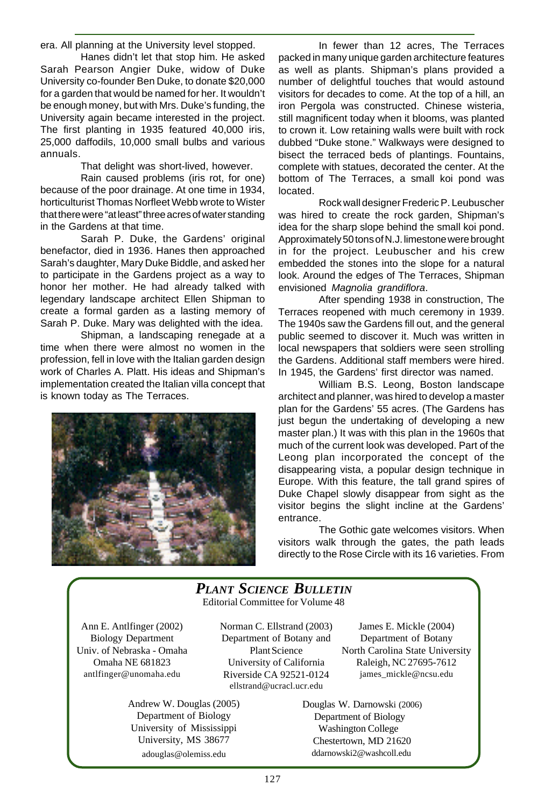era. All planning at the University level stopped.

Hanes didn't let that stop him. He asked Sarah Pearson Angier Duke, widow of Duke University co-founder Ben Duke, to donate \$20,000 for a garden that would be named for her. It wouldn't be enough money, but with Mrs. Duke's funding, the University again became interested in the project. The first planting in 1935 featured 40,000 iris, 25,000 daffodils, 10,000 small bulbs and various annuals.

That delight was short-lived, however.

Rain caused problems (iris rot, for one) because of the poor drainage. At one time in 1934, horticulturist Thomas Norfleet Webb wrote to Wister that there were "at least" three acres of water standing in the Gardens at that time.

Sarah P. Duke, the Gardens' original benefactor, died in 1936. Hanes then approached Sarah's daughter, Mary Duke Biddle, and asked her to participate in the Gardens project as a way to honor her mother. He had already talked with legendary landscape architect Ellen Shipman to create a formal garden as a lasting memory of Sarah P. Duke. Mary was delighted with the idea.

Shipman, a landscaping renegade at a time when there were almost no women in the profession, fell in love with the Italian garden design work of Charles A. Platt. His ideas and Shipman's implementation created the Italian villa concept that is known today as The Terraces.



In fewer than 12 acres, The Terraces packed in many unique garden architecture features as well as plants. Shipman's plans provided a number of delightful touches that would astound visitors for decades to come. At the top of a hill, an iron Pergola was constructed. Chinese wisteria, still magnificent today when it blooms, was planted to crown it. Low retaining walls were built with rock dubbed "Duke stone." Walkways were designed to bisect the terraced beds of plantings. Fountains, complete with statues, decorated the center. At the bottom of The Terraces, a small koi pond was located.

Rock wall designer Frederic P. Leubuscher was hired to create the rock garden, Shipman's idea for the sharp slope behind the small koi pond. Approximately 50 tons of N.J. limestone were brought in for the project. Leubuscher and his crew embedded the stones into the slope for a natural look. Around the edges of The Terraces, Shipman envisioned Magnolia grandiflora.

After spending 1938 in construction, The Terraces reopened with much ceremony in 1939. The 1940s saw the Gardens fill out, and the general public seemed to discover it. Much was written in local newspapers that soldiers were seen strolling the Gardens. Additional staff members were hired. In 1945, the Gardens' first director was named.

William B.S. Leong, Boston landscape architect and planner, was hired to develop a master plan for the Gardens' 55 acres. (The Gardens has just begun the undertaking of developing a new master plan.) It was with this plan in the 1960s that much of the current look was developed. Part of the Leong plan incorporated the concept of the disappearing vista, a popular design technique in Europe. With this feature, the tall grand spires of Duke Chapel slowly disappear from sight as the visitor begins the slight incline at the Gardens' entrance.

The Gothic gate welcomes visitors. When visitors walk through the gates, the path leads directly to the Rose Circle with its 16 varieties. From

#### Editorial Committee for Volume 48 *PLANT SCIENCE BULLETIN*

Ann E. Antlfinger (2002) Biology Department Univ. of Nebraska - Omaha Omaha NE 681823 antlfinger@unomaha.edu

Norman C. Ellstrand (2003) Department of Botany and Plant Science University of California Riverside CA 92521-0124 ellstrand@ucracl.ucr.edu

Andrew W. Douglas (2005) Department of Biology University of Mississippi University, MS 38677 adouglas@olemiss.edu

James E. Mickle (2004) Department of Botany North Carolina State University Raleigh, NC 27695-7612 james\_mickle@ncsu.edu

 Douglas W. Darnowski (2006) Department of Biology Washington College Chestertown, MD 21620 ddarnowski2@washcoll.edu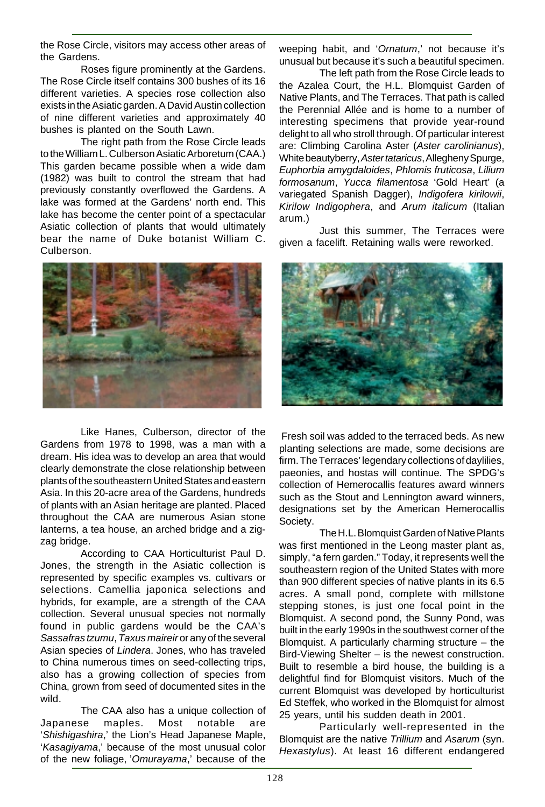the Rose Circle, visitors may access other areas of the Gardens.

Roses figure prominently at the Gardens. The Rose Circle itself contains 300 bushes of its 16 different varieties. A species rose collection also exists in the Asiatic garden. A David Austin collection of nine different varieties and approximately 40 bushes is planted on the South Lawn.

The right path from the Rose Circle leads to the William L. Culberson Asiatic Arboretum (CAA.) This garden became possible when a wide dam (1982) was built to control the stream that had previously constantly overflowed the Gardens. A lake was formed at the Gardens' north end. This lake has become the center point of a spectacular Asiatic collection of plants that would ultimately bear the name of Duke botanist William C. Culberson.



Like Hanes, Culberson, director of the Gardens from 1978 to 1998, was a man with a dream. His idea was to develop an area that would clearly demonstrate the close relationship between plants of the southeastern United States and eastern Asia. In this 20-acre area of the Gardens, hundreds of plants with an Asian heritage are planted. Placed throughout the CAA are numerous Asian stone lanterns, a tea house, an arched bridge and a zigzag bridge.

According to CAA Horticulturist Paul D. Jones, the strength in the Asiatic collection is represented by specific examples vs. cultivars or selections. Camellia japonica selections and hybrids, for example, are a strength of the CAA collection. Several unusual species not normally found in public gardens would be the CAA's Sassafras tzumu, Taxus maireir or any of the several Asian species of Lindera. Jones, who has traveled to China numerous times on seed-collecting trips, also has a growing collection of species from China, grown from seed of documented sites in the wild.

The CAA also has a unique collection of Japanese maples. Most notable are 'Shishigashira,' the Lion's Head Japanese Maple, 'Kasagiyama,' because of the most unusual color of the new foliage, 'Omurayama,' because of the

weeping habit, and 'Ornatum,' not because it's unusual but because it's such a beautiful specimen.

The left path from the Rose Circle leads to the Azalea Court, the H.L. Blomquist Garden of Native Plants, and The Terraces. That path is called the Perennial Allée and is home to a number of interesting specimens that provide year-round delight to all who stroll through. Of particular interest are: Climbing Carolina Aster (Aster carolinianus), White beautyberry, Aster tataricus, Allegheny Spurge, Euphorbia amygdaloides, Phlomis fruticosa, Lilium formosanum, Yucca filamentosa 'Gold Heart' (a variegated Spanish Dagger), Indigofera kirilowii, Kirilow Indigophera, and Arum italicum (Italian arum.)

Just this summer, The Terraces were given a facelift. Retaining walls were reworked.



 Fresh soil was added to the terraced beds. As new planting selections are made, some decisions are firm. The Terraces' legendary collections of daylilies, paeonies, and hostas will continue. The SPDG's collection of Hemerocallis features award winners such as the Stout and Lennington award winners, designations set by the American Hemerocallis Society.

The H.L. Blomquist Garden of Native Plants was first mentioned in the Leong master plant as, simply, "a fern garden." Today, it represents well the southeastern region of the United States with more than 900 different species of native plants in its 6.5 acres. A small pond, complete with millstone stepping stones, is just one focal point in the Blomquist. A second pond, the Sunny Pond, was built in the early 1990s in the southwest corner of the Blomquist. A particularly charming structure – the Bird-Viewing Shelter – is the newest construction. Built to resemble a bird house, the building is a delightful find for Blomquist visitors. Much of the current Blomquist was developed by horticulturist Ed Steffek, who worked in the Blomquist for almost 25 years, until his sudden death in 2001.

Particularly well-represented in the Blomquist are the native Trillium and Asarum (syn. Hexastylus). At least 16 different endangered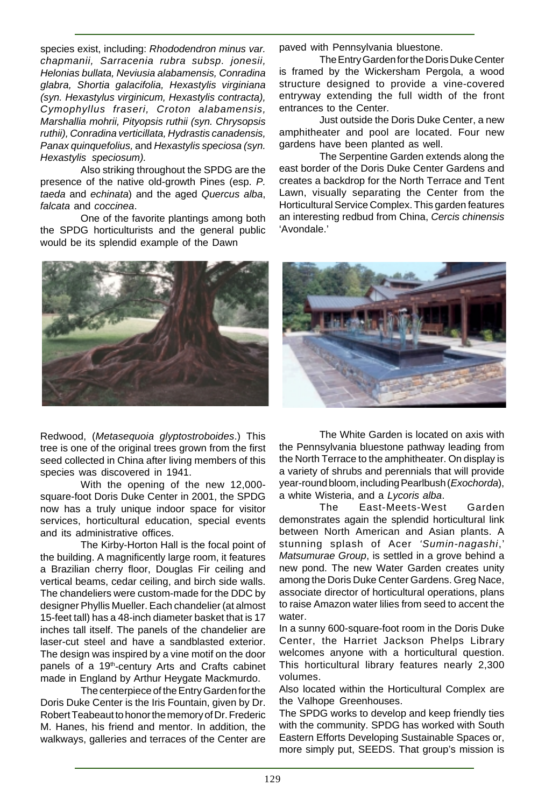species exist, including: Rhododendron minus var. chapmanii, Sarracenia rubra subsp. jonesii, Helonias bullata, Neviusia alabamensis, Conradina glabra, Shortia galacifolia, Hexastylis virginiana (syn. Hexastylus virginicum, Hexastylis contracta), Cymophyllus fraseri, Croton alabamensis, Marshallia mohrii, Pityopsis ruthii (syn. Chrysopsis ruthii), Conradina verticillata, Hydrastis canadensis, Panax quinquefolius, and Hexastylis speciosa (syn. Hexastylis speciosum).

Also striking throughout the SPDG are the presence of the native old-growth Pines (esp. P. taeda and echinata) and the aged Quercus alba, falcata and coccinea.

One of the favorite plantings among both the SPDG horticulturists and the general public would be its splendid example of the Dawn



Redwood, (Metasequoia glyptostroboides.) This tree is one of the original trees grown from the first seed collected in China after living members of this species was discovered in 1941.

With the opening of the new 12,000 square-foot Doris Duke Center in 2001, the SPDG now has a truly unique indoor space for visitor services, horticultural education, special events and its administrative offices.

The Kirby-Horton Hall is the focal point of the building. A magnificently large room, it features a Brazilian cherry floor, Douglas Fir ceiling and vertical beams, cedar ceiling, and birch side walls. The chandeliers were custom-made for the DDC by designer Phyllis Mueller. Each chandelier (at almost 15-feet tall) has a 48-inch diameter basket that is 17 inches tall itself. The panels of the chandelier are laser-cut steel and have a sandblasted exterior. The design was inspired by a vine motif on the door panels of a 19<sup>th</sup>-century Arts and Crafts cabinet made in England by Arthur Heygate Mackmurdo.

The centerpiece of the Entry Garden for the Doris Duke Center is the Iris Fountain, given by Dr. Robert Teabeaut to honor the memory of Dr. Frederic M. Hanes, his friend and mentor. In addition, the walkways, galleries and terraces of the Center are

paved with Pennsylvania bluestone.

The Entry Garden for the Doris Duke Center is framed by the Wickersham Pergola, a wood structure designed to provide a vine-covered entryway extending the full width of the front entrances to the Center.

Just outside the Doris Duke Center, a new amphitheater and pool are located. Four new gardens have been planted as well.

The Serpentine Garden extends along the east border of the Doris Duke Center Gardens and creates a backdrop for the North Terrace and Tent Lawn, visually separating the Center from the Horticultural Service Complex. This garden features an interesting redbud from China, Cercis chinensis 'Avondale.'



The White Garden is located on axis with the Pennsylvania bluestone pathway leading from the North Terrace to the amphitheater. On display is a variety of shrubs and perennials that will provide year-round bloom, including Pearlbush (Exochorda), a white Wisteria, and a Lycoris alba.

The East-Meets-West Garden demonstrates again the splendid horticultural link between North American and Asian plants. A stunning splash of Acer 'Sumin-nagashi,' Matsumurae Group, is settled in a grove behind a new pond. The new Water Garden creates unity among the Doris Duke Center Gardens. Greg Nace, associate director of horticultural operations, plans to raise Amazon water lilies from seed to accent the water

In a sunny 600-square-foot room in the Doris Duke Center, the Harriet Jackson Phelps Library welcomes anyone with a horticultural question. This horticultural library features nearly 2,300 volumes.

Also located within the Horticultural Complex are the Valhope Greenhouses.

The SPDG works to develop and keep friendly ties with the community. SPDG has worked with South Eastern Efforts Developing Sustainable Spaces or, more simply put, SEEDS. That group's mission is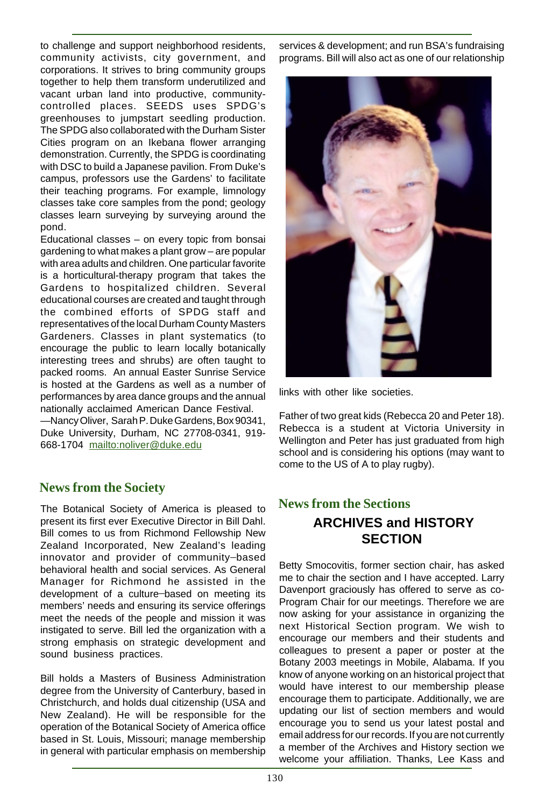to challenge and support neighborhood residents, community activists, city government, and corporations. It strives to bring community groups together to help them transform underutilized and vacant urban land into productive, communitycontrolled places. SEEDS uses SPDG's greenhouses to jumpstart seedling production. The SPDG also collaborated with the Durham Sister Cities program on an Ikebana flower arranging demonstration. Currently, the SPDG is coordinating with DSC to build a Japanese pavilion. From Duke's campus, professors use the Gardens' to facilitate their teaching programs. For example, limnology classes take core samples from the pond; geology classes learn surveying by surveying around the pond.

Educational classes – on every topic from bonsai gardening to what makes a plant grow – are popular with area adults and children. One particular favorite is a horticultural-therapy program that takes the Gardens to hospitalized children. Several educational courses are created and taught through the combined efforts of SPDG staff and representatives of the local Durham County Masters Gardeners. Classes in plant systematics (to encourage the public to learn locally botanically interesting trees and shrubs) are often taught to packed rooms. An annual Easter Sunrise Service is hosted at the Gardens as well as a number of performances by area dance groups and the annual nationally acclaimed American Dance Festival.

—Nancy Oliver, Sarah P. Duke Gardens, Box 90341, Duke University, Durham, NC 27708-0341, 919- 668-1704 mailto:noliver@duke.edu

## **News from the Society**

The Botanical Society of America is pleased to present its first ever Executive Director in Bill Dahl. Bill comes to us from Richmond Fellowship New Zealand Incorporated, New Zealand's leading innovator and provider of community-based behavioral health and social services. As General Manager for Richmond he assisted in the development of a culture-based on meeting its members' needs and ensuring its service offerings meet the needs of the people and mission it was instigated to serve. Bill led the organization with a strong emphasis on strategic development and sound business practices.

Bill holds a Masters of Business Administration degree from the University of Canterbury, based in Christchurch, and holds dual citizenship (USA and New Zealand). He will be responsible for the operation of the Botanical Society of America office based in St. Louis, Missouri; manage membership in general with particular emphasis on membership

services & development; and run BSA's fundraising programs. Bill will also act as one of our relationship



links with other like societies.

Father of two great kids (Rebecca 20 and Peter 18). Rebecca is a student at Victoria University in Wellington and Peter has just graduated from high school and is considering his options (may want to come to the US of A to play rugby).

# **News from the Sections ARCHIVES and HISTORY SECTION**

Betty Smocovitis, former section chair, has asked me to chair the section and I have accepted. Larry Davenport graciously has offered to serve as co-Program Chair for our meetings. Therefore we are now asking for your assistance in organizing the next Historical Section program. We wish to encourage our members and their students and colleagues to present a paper or poster at the Botany 2003 meetings in Mobile, Alabama. If you know of anyone working on an historical project that would have interest to our membership please encourage them to participate. Additionally, we are updating our list of section members and would encourage you to send us your latest postal and email address for our records. If you are not currently a member of the Archives and History section we welcome your affiliation. Thanks, Lee Kass and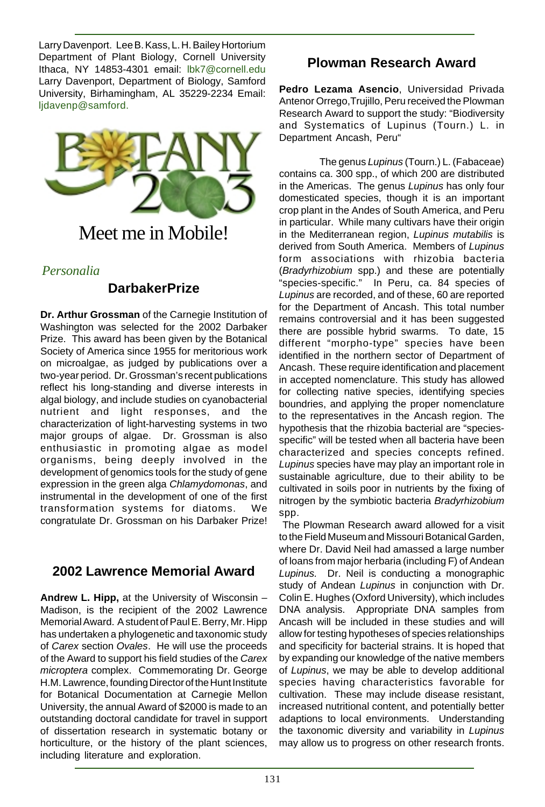Larry Davenport. Lee B. Kass, L. H. Bailey Hortorium Department of Plant Biology, Cornell University Ithaca, NY 14853-4301 email: lbk7@cornell.edu Larry Davenport, Department of Biology, Samford University, Birhamingham, AL 35229-2234 Email: ljdavenp@samford.



# Meet me in Mobile!

#### *Personalia*

# **DarbakerPrize**

**Dr. Arthur Grossman** of the Carnegie Institution of Washington was selected for the 2002 Darbaker Prize. This award has been given by the Botanical Society of America since 1955 for meritorious work on microalgae, as judged by publications over a two-year period. Dr. Grossman's recent publications reflect his long-standing and diverse interests in algal biology, and include studies on cyanobacterial nutrient and light responses, and the characterization of light-harvesting systems in two major groups of algae. Dr. Grossman is also enthusiastic in promoting algae as model organisms, being deeply involved in the development of genomics tools for the study of gene expression in the green alga Chlamydomonas, and instrumental in the development of one of the first transformation systems for diatoms. We congratulate Dr. Grossman on his Darbaker Prize!

## **2002 Lawrence Memorial Award**

**Andrew L. Hipp,** at the University of Wisconsin – Madison, is the recipient of the 2002 Lawrence Memorial Award. A student of Paul E. Berry, Mr. Hipp has undertaken a phylogenetic and taxonomic study of Carex section Ovales. He will use the proceeds of the Award to support his field studies of the Carex microptera complex. Commemorating Dr. George H.M. Lawrence, founding Director of the Hunt Institute for Botanical Documentation at Carnegie Mellon University, the annual Award of \$2000 is made to an outstanding doctoral candidate for travel in support of dissertation research in systematic botany or horticulture, or the history of the plant sciences, including literature and exploration.

# **Plowman Research Award**

**Pedro Lezama Asencio**, Universidad Privada Antenor Orrego,Trujillo, Peru received the Plowman Research Award to support the study: "Biodiversity and Systematics of Lupinus (Tourn.) L. in Department Ancash, Peru"

The genus Lupinus (Tourn.) L. (Fabaceae) contains ca. 300 spp., of which 200 are distributed in the Americas. The genus Lupinus has only four domesticated species, though it is an important crop plant in the Andes of South America, and Peru in particular. While many cultivars have their origin in the Mediterranean region, Lupinus mutabilis is derived from South America. Members of Lupinus form associations with rhizobia bacteria (Bradyrhizobium spp.) and these are potentially "species-specific." In Peru, ca. 84 species of Lupinus are recorded, and of these, 60 are reported for the Department of Ancash. This total number remains controversial and it has been suggested there are possible hybrid swarms. To date, 15 different "morpho-type" species have been identified in the northern sector of Department of Ancash. These require identification and placement in accepted nomenclature. This study has allowed for collecting native species, identifying species boundries, and applying the proper nomenclature to the representatives in the Ancash region. The hypothesis that the rhizobia bacterial are "speciesspecific" will be tested when all bacteria have been characterized and species concepts refined. Lupinus species have may play an important role in sustainable agriculture, due to their ability to be cultivated in soils poor in nutrients by the fixing of nitrogen by the symbiotic bacteria Bradyrhizobium spp.

 The Plowman Research award allowed for a visit to the Field Museum and Missouri Botanical Garden, where Dr. David Neil had amassed a large number of loans from major herbaria (including F) of Andean Lupinus. Dr. Neil is conducting a monographic study of Andean Lupinus in conjunction with Dr. Colin E. Hughes (Oxford University), which includes DNA analysis. Appropriate DNA samples from Ancash will be included in these studies and will allow for testing hypotheses of species relationships and specificity for bacterial strains. It is hoped that by expanding our knowledge of the native members of Lupinus, we may be able to develop additional species having characteristics favorable for cultivation. These may include disease resistant, increased nutritional content, and potentially better adaptions to local environments. Understanding the taxonomic diversity and variability in Lupinus may allow us to progress on other research fronts.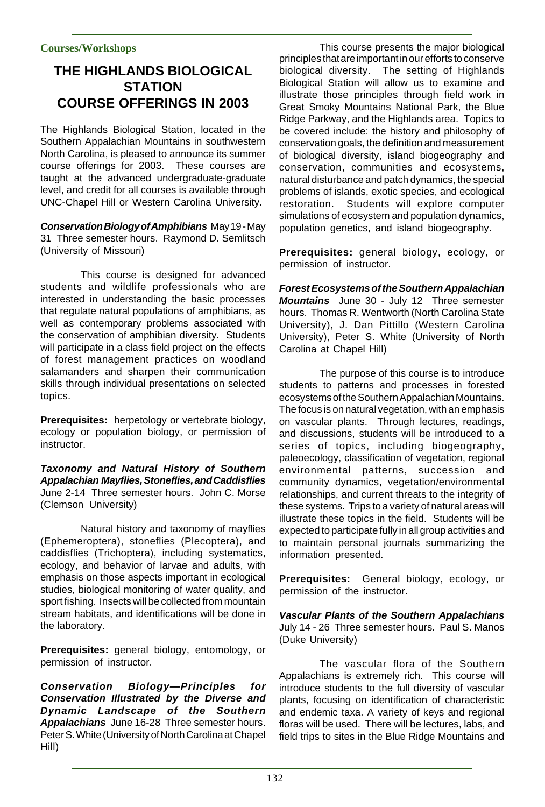#### **Courses/Workshops**

# **THE HIGHLANDS BIOLOGICAL STATION COURSE OFFERINGS IN 2003**

The Highlands Biological Station, located in the Southern Appalachian Mountains in southwestern North Carolina, is pleased to announce its summer course offerings for 2003. These courses are taught at the advanced undergraduate-graduate level, and credit for all courses is available through UNC-Chapel Hill or Western Carolina University.

**Conservation Biology of Amphibians** May 19 - May 31 Three semester hours. Raymond D. Semlitsch (University of Missouri)

This course is designed for advanced students and wildlife professionals who are interested in understanding the basic processes that regulate natural populations of amphibians, as well as contemporary problems associated with the conservation of amphibian diversity. Students will participate in a class field project on the effects of forest management practices on woodland salamanders and sharpen their communication skills through individual presentations on selected topics.

**Prerequisites:** herpetology or vertebrate biology, ecology or population biology, or permission of instructor.

**Taxonomy and Natural History of Southern Appalachian Mayflies, Stoneflies, and Caddisflies** June 2-14 Three semester hours. John C. Morse (Clemson University)

Natural history and taxonomy of mayflies (Ephemeroptera), stoneflies (Plecoptera), and caddisflies (Trichoptera), including systematics, ecology, and behavior of larvae and adults, with emphasis on those aspects important in ecological studies, biological monitoring of water quality, and sport fishing. Insects will be collected from mountain stream habitats, and identifications will be done in the laboratory.

**Prerequisites:** general biology, entomology, or permission of instructor.

**Conservation Biology—Principles for Conservation Illustrated by the Diverse and Dynamic Landscape of the Southern Appalachians** June 16-28 Three semester hours. Peter S. White (University of North Carolina at Chapel Hill)

This course presents the major biological principles that are important in our efforts to conserve biological diversity. The setting of Highlands Biological Station will allow us to examine and illustrate those principles through field work in Great Smoky Mountains National Park, the Blue Ridge Parkway, and the Highlands area. Topics to be covered include: the history and philosophy of conservation goals, the definition and measurement of biological diversity, island biogeography and conservation, communities and ecosystems, natural disturbance and patch dynamics, the special problems of islands, exotic species, and ecological restoration. Students will explore computer simulations of ecosystem and population dynamics, population genetics, and island biogeography.

**Prerequisites:** general biology, ecology, or permission of instructor.

**Forest Ecosystems of the Southern Appalachian Mountains** June 30 - July 12 Three semester hours. Thomas R. Wentworth (North Carolina State University), J. Dan Pittillo (Western Carolina University), Peter S. White (University of North Carolina at Chapel Hill)

The purpose of this course is to introduce students to patterns and processes in forested ecosystems of the Southern Appalachian Mountains. The focus is on natural vegetation, with an emphasis on vascular plants. Through lectures, readings, and discussions, students will be introduced to a series of topics, including biogeography, paleoecology, classification of vegetation, regional environmental patterns, succession and community dynamics, vegetation/environmental relationships, and current threats to the integrity of these systems. Trips to a variety of natural areas will illustrate these topics in the field. Students will be expected to participate fully in all group activities and to maintain personal journals summarizing the information presented.

**Prerequisites:** General biology, ecology, or permission of the instructor.

**Vascular Plants of the Southern Appalachians** July 14 - 26 Three semester hours. Paul S. Manos (Duke University)

The vascular flora of the Southern Appalachians is extremely rich. This course will introduce students to the full diversity of vascular plants, focusing on identification of characteristic and endemic taxa. A variety of keys and regional floras will be used. There will be lectures, labs, and field trips to sites in the Blue Ridge Mountains and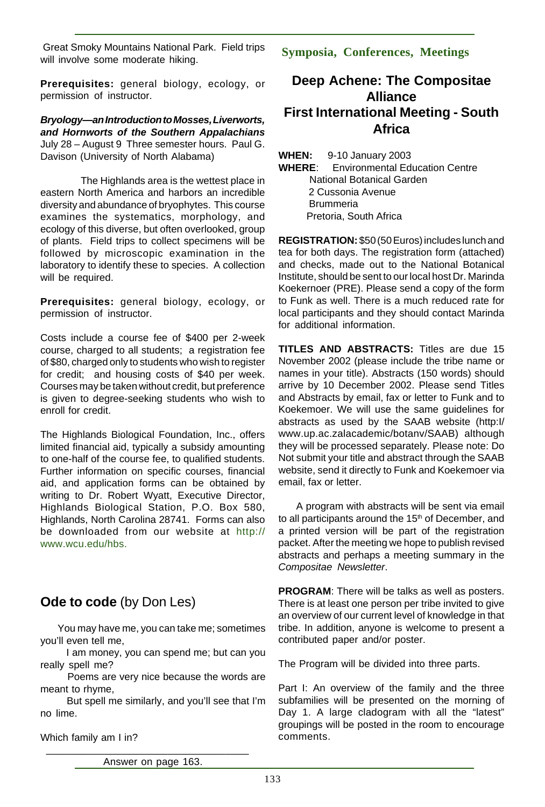Great Smoky Mountains National Park. Field trips will involve some moderate hiking.

**Prerequisites:** general biology, ecology, or permission of instructor.

**Bryology—an Introduction to Mosses, Liverworts, and Hornworts of the Southern Appalachians** July 28 – August 9 Three semester hours. Paul G. Davison (University of North Alabama)

The Highlands area is the wettest place in eastern North America and harbors an incredible diversity and abundance of bryophytes. This course examines the systematics, morphology, and ecology of this diverse, but often overlooked, group of plants. Field trips to collect specimens will be followed by microscopic examination in the laboratory to identify these to species. A collection will be required.

**Prerequisites:** general biology, ecology, or permission of instructor.

Costs include a course fee of \$400 per 2-week course, charged to all students; a registration fee of \$80, charged only to students who wish to register for credit; and housing costs of \$40 per week. Courses may be taken without credit, but preference is given to degree-seeking students who wish to enroll for credit.

The Highlands Biological Foundation, Inc., offers limited financial aid, typically a subsidy amounting to one-half of the course fee, to qualified students. Further information on specific courses, financial aid, and application forms can be obtained by writing to Dr. Robert Wyatt, Executive Director, Highlands Biological Station, P.O. Box 580, Highlands, North Carolina 28741. Forms can also be downloaded from our website at http:// www.wcu.edu/hbs.

# **Ode to code** (by Don Les)

 You may have me, you can take me; sometimes you'll even tell me,

 I am money, you can spend me; but can you really spell me?

 Poems are very nice because the words are meant to rhyme,

 But spell me similarly, and you'll see that I'm no lime.

Which family am I in?

**Symposia, Conferences, Meetings**

## **Deep Achene: The Compositae Alliance First International Meeting - South Africa**

**WHEN:** 9-10 January 2003 **WHERE**: Environmental Education Centre National Botanical Garden 2 Cussonia Avenue **Brummeria** Pretoria, South Africa

**REGISTRATION:** \$50 (50 Euros) includes lunch and tea for both days. The registration form (attached) and checks, made out to the National Botanical Institute, should be sent to our local host Dr. Marinda Koekernoer (PRE). Please send a copy of the form to Funk as well. There is a much reduced rate for local participants and they should contact Marinda for additional information.

**TITLES AND ABSTRACTS:** Titles are due 15 November 2002 (please include the tribe name or names in your title). Abstracts (150 words) should arrive by 10 December 2002. Please send Titles and Abstracts by email, fax or letter to Funk and to Koekemoer. We will use the same guidelines for abstracts as used by the SAAB website (http:I/ www.up.ac.zalacademic/botanv/SAAB) although they will be processed separately. Please note: Do Not submit your title and abstract through the SAAB website, send it directly to Funk and Koekemoer via email, fax or letter.

 A program with abstracts will be sent via email to all participants around the 15<sup>th</sup> of December, and a printed version will be part of the registration packet. After the meeting we hope to publish revised abstracts and perhaps a meeting summary in the Compositae Newsletter.

**PROGRAM**: There will be talks as well as posters. There is at least one person per tribe invited to give an overview of our current level of knowledge in that tribe. In addition, anyone is welcome to present a contributed paper and/or poster.

The Program will be divided into three parts.

Part I: An overview of the family and the three subfamilies will be presented on the morning of Day 1. A large cladogram with all the "latest" groupings will be posted in the room to encourage comments.

 \_\_\_\_\_\_\_\_\_\_\_\_\_\_\_\_\_\_\_\_\_\_\_\_\_\_\_\_\_\_\_\_\_\_\_ Answer on page 163.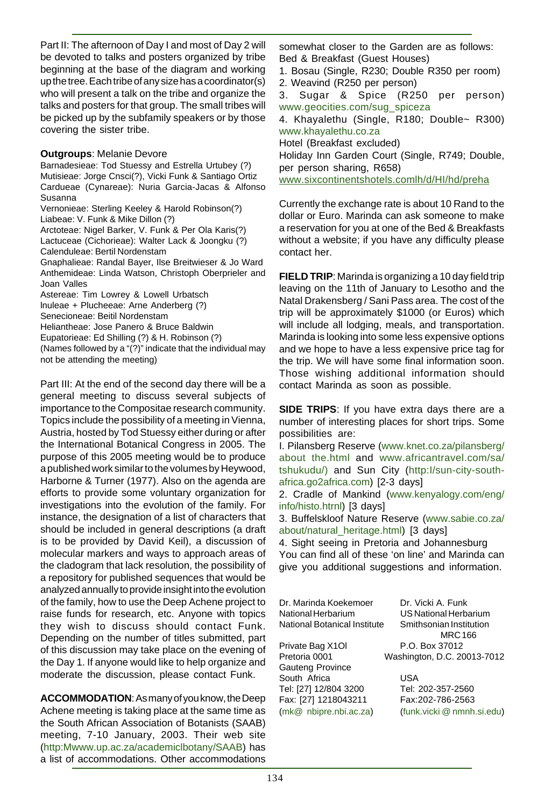Part II: The afternoon of Day I and most of Day 2 will be devoted to talks and posters organized by tribe beginning at the base of the diagram and working up the tree. Each tribe of any size has a coordinator(s) who will present a talk on the tribe and organize the talks and posters for that group. The small tribes will be picked up by the subfamily speakers or by those covering the sister tribe.

#### **Outgroups**: Melanie Devore

Barnadesieae: Tod Stuessy and Estrella Urtubey (?) Mutisieae: Jorge Cnsci(?), Vicki Funk & Santiago Ortiz Cardueae (Cynareae): Nuria Garcia-Jacas & Alfonso Susanna Vernonieae: Sterling Keeley & Harold Robinson(?) Liabeae: V. Funk & Mike Dillon (?) Arctoteae: Nigel Barker, V. Funk & Per Ola Karis(?) Lactuceae (Cichorieae): Walter Lack & Joongku (?) Calenduleae: Bertil Nordenstam Gnaphalieae: Randal Bayer, Ilse Breitwieser & Jo Ward

Anthemideae: Linda Watson, Christoph Oberprieler and Joan Valles

Astereae: Tim Lowrey & Lowell Urbatsch lnuleae + Plucheeae: Arne Anderberg (?) Senecioneae: Beitil Nordenstam Heliantheae: Jose Panero & Bruce Baldwin Eupatorieae: Ed Shilling (?) & H. Robinson (?)

(Names followed by a "(?)" indicate that the individual may not be attending the meeting)

Part III: At the end of the second day there will be a general meeting to discuss several subjects of importance to the Compositae research community. Topics include the possibility of a meeting in Vienna, Austria, hosted by Tod Stuessy either during or after the International Botanical Congress in 2005. The purpose of this 2005 meeting would be to produce a published work similar to the volumes by Heywood, Harborne & Turner (1977). Also on the agenda are efforts to provide some voluntary organization for investigations into the evolution of the family. For instance, the designation of a list of characters that should be included in general descriptions (a draft is to be provided by David Keil), a discussion of molecular markers and ways to approach areas of the cladogram that lack resolution, the possibility of a repository for published sequences that would be analyzed annually to provide insight into the evolution of the family, how to use the Deep Achene project to raise funds for research, etc. Anyone with topics they wish to discuss should contact Funk. Depending on the number of titles submitted, part of this discussion may take place on the evening of the Day 1. If anyone would like to help organize and moderate the discussion, please contact Funk.

**ACCOMMODATION**: As many of you know, the Deep Achene meeting is taking place at the same time as the South African Association of Botanists (SAAB) meeting, 7-10 January, 2003. Their web site (http:Mwww.up.ac.za/academiclbotany/SAAB) has a list of accommodations. Other accommodations

somewhat closer to the Garden are as follows: Bed & Breakfast (Guest Houses)

1. Bosau (Single, R230; Double R350 per room) 2. Weavind (R250 per person)

3. Sugar & Spice (R250 per person) www.geocities.com/sug\_spiceza

4. Khayalethu (Single, R180; Double~ R300) www.khayalethu.co.za

Hotel (Breakfast excluded)

Holiday Inn Garden Court (Single, R749; Double, per person sharing, R658)

www.sixcontinentshotels.comlh/d/HI/hd/preha

Currently the exchange rate is about 10 Rand to the dollar or Euro. Marinda can ask someone to make a reservation for you at one of the Bed & Breakfasts without a website; if you have any difficulty please contact her.

**FIELD TRIP**: Marinda is organizing a 10 day field trip leaving on the 11th of January to Lesotho and the Natal Drakensberg / Sani Pass area. The cost of the trip will be approximately \$1000 (or Euros) which will include all lodging, meals, and transportation. Marinda is looking into some less expensive options and we hope to have a less expensive price tag for the trip. We will have some final information soon. Those wishing additional information should contact Marinda as soon as possible.

**SIDE TRIPS**: If you have extra days there are a number of interesting places for short trips. Some possibilities are:

I. Pilansberg Reserve (www.knet.co.za/pilansberg/ about the.html and www.africantravel.com/sa/ tshukudu/) and Sun City (http:I/sun-city-southafrica.go2africa.com) [2-3 days]

2. Cradle of Mankind (www.kenyalogy.com/eng/ info/histo.htrnl) [3 days]

3. Buffelskloof Nature Reserve (www.sabie.co.za/ about/natural\_heritage.html) [3 days]

4. Sight seeing in Pretoria and Johannesburg You can find all of these 'on line' and Marinda can give you additional suggestions and information.

Dr. Marinda Koekemoer Dr. Vicki A. Funk National Herbarium US National Herbarium National Botanical Institute Smithsonian Institution MRC 166 Private Bag X1Ol P.O. Box 37012 Pretoria 0001 Washington, D.C. 20013-7012 Gauteng Province South Africa **USA** Tel: [27] 12/804 3200 Tel: 202-357-2560 Fax: [27] 1218043211 Fax:202-786-2563 (mk@ nbipre.nbi.ac.za) (funk.vicki @ nmnh.si.edu)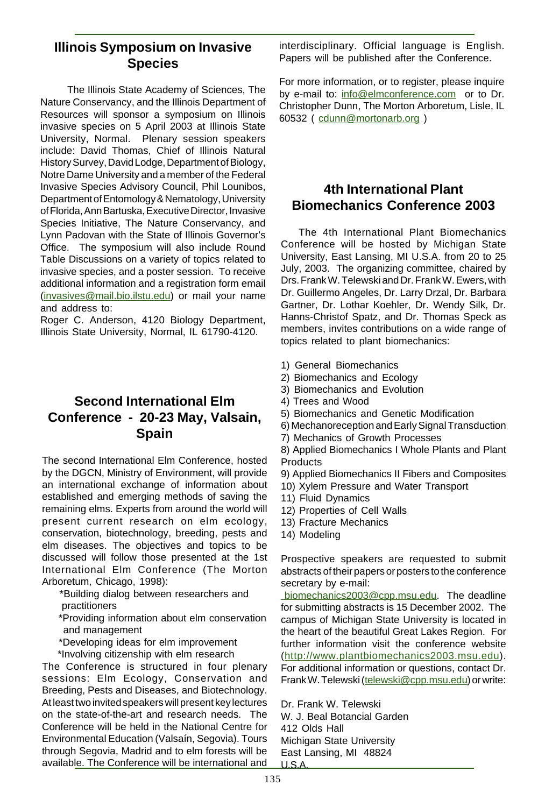#### **Illinois Symposium on Invasive Species**

 The Illinois State Academy of Sciences, The Nature Conservancy, and the Illinois Department of Resources will sponsor a symposium on Illinois invasive species on 5 April 2003 at Illinois State University, Normal. Plenary session speakers include: David Thomas, Chief of Illinois Natural History Survey, David Lodge, Department of Biology, Notre Dame University and a member of the Federal Invasive Species Advisory Council, Phil Lounibos, Department of Entomology & Nematology, University of Florida, Ann Bartuska, Executive Director, Invasive Species Initiative, The Nature Conservancy, and Lynn Padovan with the State of Illinois Governor's Office. The symposium will also include Round Table Discussions on a variety of topics related to invasive species, and a poster session. To receive additional information and a registration form email (invasives@mail.bio.ilstu.edu) or mail your name and address to:

Roger C. Anderson, 4120 Biology Department, Illinois State University, Normal, IL 61790-4120.

## **Second International Elm Conference - 20-23 May, Valsain, Spain**

The second International Elm Conference, hosted by the DGCN, Ministry of Environment, will provide an international exchange of information about established and emerging methods of saving the remaining elms. Experts from around the world will present current research on elm ecology, conservation, biotechnology, breeding, pests and elm diseases. The objectives and topics to be discussed will follow those presented at the 1st International Elm Conference (The Morton Arboretum, Chicago, 1998):

 \*Building dialog between researchers and practitioners

 \*Providing information about elm conservation and management

\*Developing ideas for elm improvement

\*Involving citizenship with elm research

The Conference is structured in four plenary sessions: Elm Ecology, Conservation and Breeding, Pests and Diseases, and Biotechnology. At least two invited speakers will present key lectures on the state-of-the-art and research needs. The Conference will be held in the National Centre for Environmental Education (Valsaín, Segovia). Tours through Segovia, Madrid and to elm forests will be available. The Conference will be international and interdisciplinary. Official language is English. Papers will be published after the Conference.

For more information, or to register, please inquire by e-mail to: info@elmconference.com or to Dr. Christopher Dunn, The Morton Arboretum, Lisle, IL 60532 ( cdunn@mortonarb.org )

## **4th International Plant Biomechanics Conference 2003**

 The 4th International Plant Biomechanics Conference will be hosted by Michigan State University, East Lansing, MI U.S.A. from 20 to 25 July, 2003. The organizing committee, chaired by Drs. Frank W. Telewski and Dr. Frank W. Ewers, with Dr. Guillermo Angeles, Dr. Larry Drzal, Dr. Barbara Gartner, Dr. Lothar Koehler, Dr. Wendy Silk, Dr. Hanns-Christof Spatz, and Dr. Thomas Speck as members, invites contributions on a wide range of topics related to plant biomechanics:

- 1) General Biomechanics
- 2) Biomechanics and Ecology
- 3) Biomechanics and Evolution
- 4) Trees and Wood
- 5) Biomechanics and Genetic Modification

6) Mechanoreception and Early Signal Transduction

7) Mechanics of Growth Processes

8) Applied Biomechanics I Whole Plants and Plant **Products** 

9) Applied Biomechanics II Fibers and Composites

- 10) Xylem Pressure and Water Transport
- 11) Fluid Dynamics
- 12) Properties of Cell Walls
- 13) Fracture Mechanics
- 14) Modeling

Prospective speakers are requested to submit abstracts of their papers or posters to the conference secretary by e-mail:

 biomechanics2003@cpp.msu.edu. The deadline for submitting abstracts is 15 December 2002. The campus of Michigan State University is located in the heart of the beautiful Great Lakes Region. For further information visit the conference website (http://www.plantbiomechanics2003.msu.edu). For additional information or questions, contact Dr. Frank W. Telewski (telewski@cpp.msu.edu) or write:

Dr. Frank W. Telewski W. J. Beal Botancial Garden 412 Olds Hall Michigan State University East Lansing, MI 48824 U.S.A.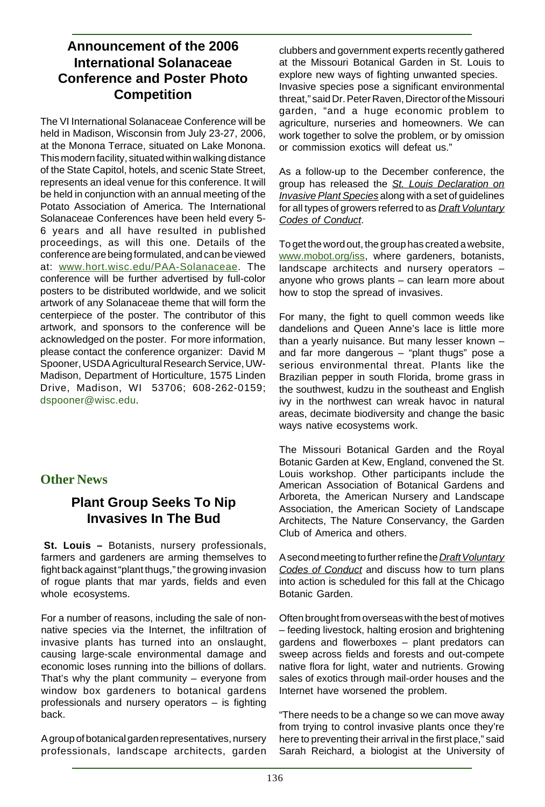## **Announcement of the 2006 International Solanaceae Conference and Poster Photo Competition**

The VI International Solanaceae Conference will be held in Madison, Wisconsin from July 23-27, 2006, at the Monona Terrace, situated on Lake Monona. This modern facility, situated within walking distance of the State Capitol, hotels, and scenic State Street, represents an ideal venue for this conference. It will be held in conjunction with an annual meeting of the Potato Association of America. The International Solanaceae Conferences have been held every 5- 6 years and all have resulted in published proceedings, as will this one. Details of the conference are being formulated, and can be viewed at: www.hort.wisc.edu/PAA-Solanaceae. The conference will be further advertised by full-color posters to be distributed worldwide, and we solicit artwork of any Solanaceae theme that will form the centerpiece of the poster. The contributor of this artwork, and sponsors to the conference will be acknowledged on the poster. For more information, please contact the conference organizer: David M Spooner, USDA Agricultural Research Service, UW-Madison, Department of Horticulture, 1575 Linden Drive, Madison, WI 53706; 608-262-0159; dspooner@wisc.edu.

## **Other News**

## **Plant Group Seeks To Nip Invasives In The Bud**

**St. Louis –** Botanists, nursery professionals, farmers and gardeners are arming themselves to fight back against "plant thugs," the growing invasion of rogue plants that mar yards, fields and even whole ecosystems.

For a number of reasons, including the sale of nonnative species via the Internet, the infiltration of invasive plants has turned into an onslaught, causing large-scale environmental damage and economic loses running into the billions of dollars. That's why the plant community – everyone from window box gardeners to botanical gardens professionals and nursery operators – is fighting back.

A group of botanical garden representatives, nursery professionals, landscape architects, garden clubbers and government experts recently gathered at the Missouri Botanical Garden in St. Louis to explore new ways of fighting unwanted species. Invasive species pose a significant environmental threat," said Dr. Peter Raven, Director of the Missouri garden, "and a huge economic problem to agriculture, nurseries and homeowners. We can work together to solve the problem, or by omission or commission exotics will defeat us."

As a follow-up to the December conference, the group has released the St. Louis Declaration on Invasive Plant Species along with a set of guidelines for all types of growers referred to as **Draft Voluntary** Codes of Conduct.

To get the word out, the group has created a website, www.mobot.org/iss, where gardeners, botanists, landscape architects and nursery operators – anyone who grows plants – can learn more about how to stop the spread of invasives.

For many, the fight to quell common weeds like dandelions and Queen Anne's lace is little more than a yearly nuisance. But many lesser known – and far more dangerous – "plant thugs" pose a serious environmental threat. Plants like the Brazilian pepper in south Florida, brome grass in the southwest, kudzu in the southeast and English ivy in the northwest can wreak havoc in natural areas, decimate biodiversity and change the basic ways native ecosystems work.

The Missouri Botanical Garden and the Royal Botanic Garden at Kew, England, convened the St. Louis workshop. Other participants include the American Association of Botanical Gardens and Arboreta, the American Nursery and Landscape Association, the American Society of Landscape Architects, The Nature Conservancy, the Garden Club of America and others.

A second meeting to further refine the Draft Voluntary Codes of Conduct and discuss how to turn plans into action is scheduled for this fall at the Chicago Botanic Garden.

Often brought from overseas with the best of motives – feeding livestock, halting erosion and brightening gardens and flowerboxes – plant predators can sweep across fields and forests and out-compete native flora for light, water and nutrients. Growing sales of exotics through mail-order houses and the Internet have worsened the problem.

"There needs to be a change so we can move away from trying to control invasive plants once they're here to preventing their arrival in the first place," said Sarah Reichard, a biologist at the University of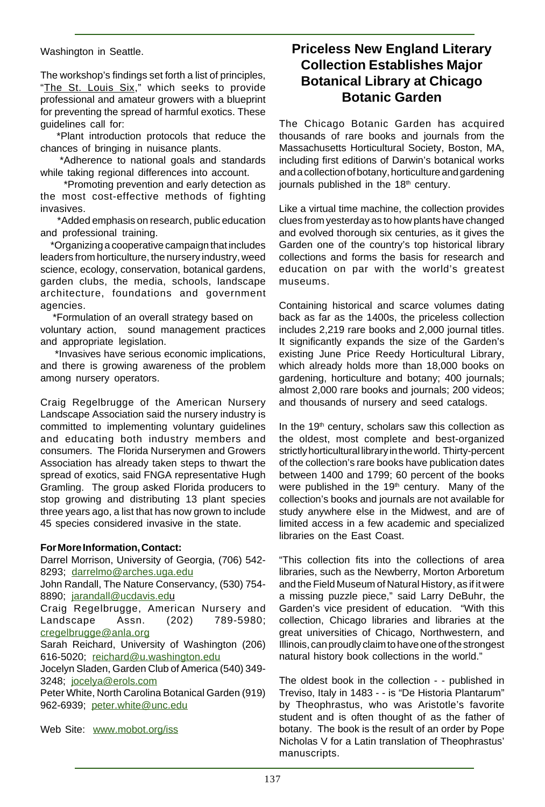Washington in Seattle.

The workshop's findings set forth a list of principles, "The St. Louis Six," which seeks to provide professional and amateur growers with a blueprint for preventing the spread of harmful exotics. These guidelines call for:

 \*Plant introduction protocols that reduce the chances of bringing in nuisance plants.

 \*Adherence to national goals and standards while taking regional differences into account.

 \*Promoting prevention and early detection as the most cost-effective methods of fighting invasives.

 \*Added emphasis on research, public education and professional training.

 \*Organizing a cooperative campaign that includes leaders from horticulture, the nursery industry, weed science, ecology, conservation, botanical gardens, garden clubs, the media, schools, landscape architecture, foundations and government agencies.

 \*Formulation of an overall strategy based on voluntary action, sound management practices and appropriate legislation.

 \*Invasives have serious economic implications, and there is growing awareness of the problem among nursery operators.

Craig Regelbrugge of the American Nursery Landscape Association said the nursery industry is committed to implementing voluntary guidelines and educating both industry members and consumers. The Florida Nurserymen and Growers Association has already taken steps to thwart the spread of exotics, said FNGA representative Hugh Gramling. The group asked Florida producers to stop growing and distributing 13 plant species three years ago, a list that has now grown to include 45 species considered invasive in the state.

#### **For More Information, Contact:**

Darrel Morrison, University of Georgia, (706) 542- 8293; darrelmo@arches.uga.edu John Randall, The Nature Conservancy, (530) 754- 8890; jarandall@ucdavis.edu Craig Regelbrugge, American Nursery and Landscape Assn. (202) 789-5980; cregelbrugge@anla.org Sarah Reichard, University of Washington (206) 616-5020; reichard@u.washington.edu Jocelyn Sladen, Garden Club of America (540) 349- 3248; jocelya@erols.com Peter White, North Carolina Botanical Garden (919) 962-6939; peter.white@unc.edu

Web Site: www.mobot.org/iss

#### **Priceless New England Literary Collection Establishes Major Botanical Library at Chicago Botanic Garden**

The Chicago Botanic Garden has acquired thousands of rare books and journals from the Massachusetts Horticultural Society, Boston, MA, including first editions of Darwin's botanical works and a collection of botany, horticulture and gardening journals published in the 18<sup>th</sup> century.

Like a virtual time machine, the collection provides clues from yesterday as to how plants have changed and evolved thorough six centuries, as it gives the Garden one of the country's top historical library collections and forms the basis for research and education on par with the world's greatest museums.

Containing historical and scarce volumes dating back as far as the 1400s, the priceless collection includes 2,219 rare books and 2,000 journal titles. It significantly expands the size of the Garden's existing June Price Reedy Horticultural Library, which already holds more than 18,000 books on gardening, horticulture and botany; 400 journals; almost 2,000 rare books and journals; 200 videos; and thousands of nursery and seed catalogs.

In the  $19<sup>th</sup>$  century, scholars saw this collection as the oldest, most complete and best-organized strictly horticultural library in the world. Thirty-percent of the collection's rare books have publication dates between 1400 and 1799; 60 percent of the books were published in the  $19<sup>th</sup>$  century. Many of the collection's books and journals are not available for study anywhere else in the Midwest, and are of limited access in a few academic and specialized libraries on the East Coast.

"This collection fits into the collections of area libraries, such as the Newberry, Morton Arboretum and the Field Museum of Natural History, as if it were a missing puzzle piece," said Larry DeBuhr, the Garden's vice president of education. "With this collection, Chicago libraries and libraries at the great universities of Chicago, Northwestern, and Illinois, can proudly claim to have one of the strongest natural history book collections in the world."

The oldest book in the collection - - published in Treviso, Italy in 1483 - - is "De Historia Plantarum" by Theophrastus, who was Aristotle's favorite student and is often thought of as the father of botany. The book is the result of an order by Pope Nicholas V for a Latin translation of Theophrastus' manuscripts.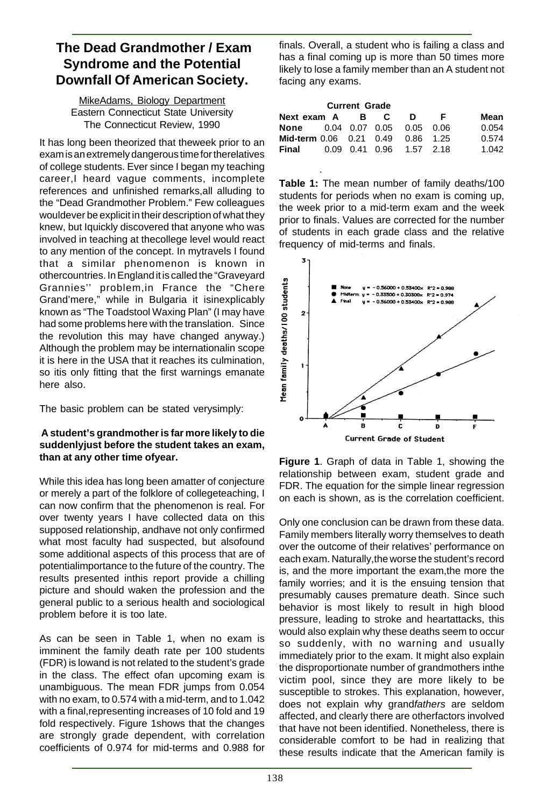#### **The Dead Grandmother / Exam Syndrome and the Potential Downfall Of American Society.**

MikeAdams, Biology Department Eastern Connecticut State University The Connecticut Review, 1990

It has long been theorized that theweek prior to an exam is an extremely dangerous time for therelatives of college students. Ever since I began my teaching career,I heard vague comments, incomplete references and unfinished remarks,all alluding to the "Dead Grandmother Problem." Few colleagues wouldever be explicit in their description of what they knew, but Iquickly discovered that anyone who was involved in teaching at thecollege level would react to any mention of the concept. In mytravels I found that a similar phenomenon is known in othercountries. In England it is called the "Graveyard Grannies'' problem,in France the "Chere Grand'mere," while in Bulgaria it isinexplicably known as "The Toadstool Waxing Plan" (I may have had some problems here with the translation. Since the revolution this may have changed anyway.) Although the problem may be internationalin scope it is here in the USA that it reaches its culmination, so itis only fitting that the first warnings emanate here also.

The basic problem can be stated verysimply:

#### **A student's grandmother is far more likely to die suddenlyjust before the student takes an exam, than at any other time ofyear.**

While this idea has long been amatter of conjecture or merely a part of the folklore of collegeteaching, I can now confirm that the phenomenon is real. For over twenty years I have collected data on this supposed relationship, andhave not only confirmed what most faculty had suspected, but alsofound some additional aspects of this process that are of potentialimportance to the future of the country. The results presented inthis report provide a chilling picture and should waken the profession and the general public to a serious health and sociological problem before it is too late.

As can be seen in Table 1, when no exam is imminent the family death rate per 100 students (FDR) is lowand is not related to the student's grade in the class. The effect ofan upcoming exam is unambiguous. The mean FDR jumps from 0.054 with no exam, to 0.574 with a mid-term, and to 1.042 with a final,representing increases of 10 fold and 19 fold respectively. Figure 1shows that the changes are strongly grade dependent, with correlation coefficients of 0.974 for mid-terms and 0.988 for

finals. Overall, a student who is failing a class and has a final coming up is more than 50 times more likely to lose a family member than an A student not facing any exams.

| <b>Current Grade</b>              |  |  |  |                          |    |       |
|-----------------------------------|--|--|--|--------------------------|----|-------|
| Next exam A B C                   |  |  |  | D                        | F. | Mean  |
| None                              |  |  |  | 0.04 0.07 0.05 0.05 0.06 |    | 0.054 |
| Mid-term 0.06 0.21 0.49 0.86 1.25 |  |  |  |                          |    | 0.574 |
| Final                             |  |  |  | 0.09 0.41 0.96 1.57 2.18 |    | 1.042 |

· **Table 1:** The mean number of family deaths/100 students for periods when no exam is coming up, the week prior to a mid-term exam and the week prior to finals. Values are corrected for the number of students in each grade class and the relative frequency of mid-terms and finals.



**Figure 1**. Graph of data in Table 1, showing the relationship between exam, student grade and FDR. The equation for the simple linear regression on each is shown, as is the correlation coefficient.

Only one conclusion can be drawn from these data. Family members literally worry themselves to death over the outcome of their relatives' performance on each exam. Naturally,the worse the student's record is, and the more important the exam,the more the family worries; and it is the ensuing tension that presumably causes premature death. Since such behavior is most likely to result in high blood pressure, leading to stroke and heartattacks, this would also explain why these deaths seem to occur so suddenly, with no warning and usually immediately prior to the exam. It might also explain the disproportionate number of grandmothers inthe victim pool, since they are more likely to be susceptible to strokes. This explanation, however, does not explain why grandfathers are seldom affected, and clearly there are otherfactors involved that have not been identified. Nonetheless, there is considerable comfort to be had in realizing that these results indicate that the American family is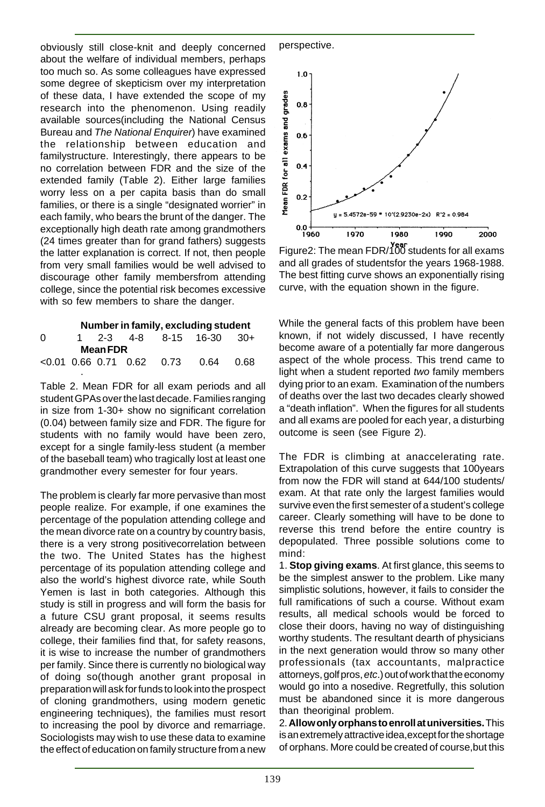obviously still close-knit and deeply concerned about the welfare of individual members, perhaps too much so. As some colleagues have expressed some degree of skepticism over my interpretation of these data, I have extended the scope of my research into the phenomenon. Using readily available sources(including the National Census Bureau and The National Enquirer) have examined the relationship between education and familystructure. Interestingly, there appears to be no correlation between FDR and the size of the extended family (Table 2). Either large families worry less on a per capita basis than do small families, or there is a single "designated worrier" in each family, who bears the brunt of the danger. The exceptionally high death rate among grandmothers (24 times greater than for grand fathers) suggests the latter explanation is correct. If not, then people from very small families would be well advised to discourage other family membersfrom attending college, since the potential risk becomes excessive with so few members to share the danger.

|          |   |                 |  | Number in family, excluding student   |  |
|----------|---|-----------------|--|---------------------------------------|--|
| $\Omega$ |   |                 |  | 1 2-3 4-8 8-15 16-30 30+              |  |
|          |   | <b>Mean FDR</b> |  |                                       |  |
|          |   |                 |  | $<0.01$ 0.66 0.71 0.62 0.73 0.64 0.68 |  |
|          | ٠ |                 |  |                                       |  |

Table 2. Mean FDR for all exam periods and all student GPAs over the last decade. Families ranging in size from 1-30+ show no significant correlation (0.04) between family size and FDR. The figure for students with no family would have been zero, except for a single family-less student (a member of the baseball team) who tragically lost at least one grandmother every semester for four years.

The problem is clearly far more pervasive than most people realize. For example, if one examines the percentage of the population attending college and the mean divorce rate on a country by country basis, there is a very strong positivecorrelation between the two. The United States has the highest percentage of its population attending college and also the world's highest divorce rate, while South Yemen is last in both categories. Although this study is still in progress and will form the basis for a future CSU grant proposal, it seems results already are becoming clear. As more people go to college, their families find that, for safety reasons, it is wise to increase the number of grandmothers per family. Since there is currently no biological way of doing so(though another grant proposal in preparation will ask for funds to look into the prospect of cloning grandmothers, using modern genetic engineering techniques), the families must resort to increasing the pool by divorce and remarriage. Sociologists may wish to use these data to examine the effect of education on family structure from a new





Figure2: The mean FDR/100 students for all exams and all grades of studentsfor the years 1968-1988. The best fitting curve shows an exponentially rising curve, with the equation shown in the figure.

While the general facts of this problem have been known, if not widely discussed, I have recently become aware of a potentially far more dangerous aspect of the whole process. This trend came to light when a student reported two family members dying prior to an exam. Examination of the numbers of deaths over the last two decades clearly showed a "death inflation". When the figures for all students and all exams are pooled for each year, a disturbing outcome is seen (see Figure 2).

The FDR is climbing at anaccelerating rate. Extrapolation of this curve suggests that 100years from now the FDR will stand at 644/100 students/ exam. At that rate only the largest families would survive even the first semester of a student's college career. Clearly something will have to be done to reverse this trend before the entire country is depopulated. Three possible solutions come to mind:

1. **Stop giving exams**. At first glance, this seems to be the simplest answer to the problem. Like many simplistic solutions, however, it fails to consider the full ramifications of such a course. Without exam results, all medical schools would be forced to close their doors, having no way of distinguishing worthy students. The resultant dearth of physicians in the next generation would throw so many other professionals (tax accountants, malpractice attorneys, golf pros, etc.) out of work that the economy would go into a nosedive. Regretfully, this solution must be abandoned since it is more dangerous than theoriginal problem.

2. **Allowonly orphans to enroll at universities.** This is an extremely attractive idea,except for the shortage of orphans. More could be created of course,but this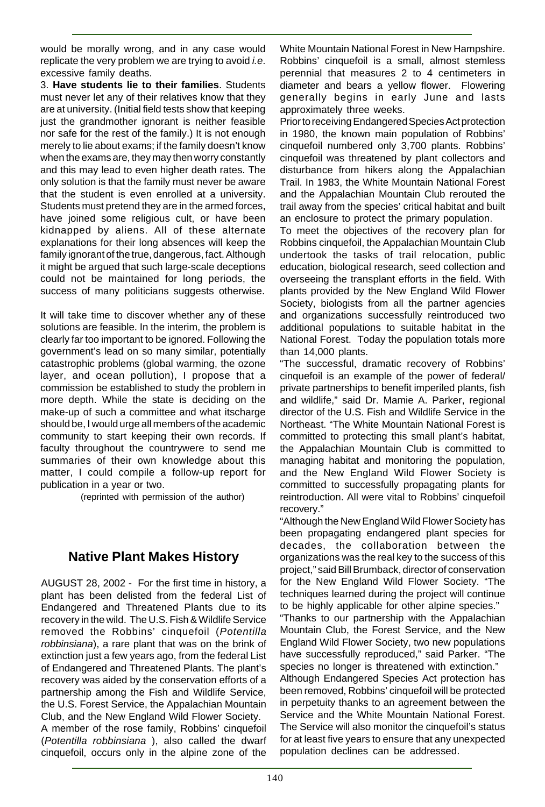would be morally wrong, and in any case would replicate the very problem we are trying to avoid *i.e.* excessive family deaths.

3. **Have students lie to their families**. Students must never let any of their relatives know that they are at university. (Initial field tests show that keeping just the grandmother ignorant is neither feasible nor safe for the rest of the family.) It is not enough merely to lie about exams; if the family doesn't know when the exams are, they may then worry constantly and this may lead to even higher death rates. The only solution is that the family must never be aware that the student is even enrolled at a university. Students must pretend they are in the armed forces, have joined some religious cult, or have been kidnapped by aliens. All of these alternate explanations for their long absences will keep the family ignorant of the true, dangerous, fact. Although it might be argued that such large-scale deceptions could not be maintained for long periods, the success of many politicians suggests otherwise.

It will take time to discover whether any of these solutions are feasible. In the interim, the problem is clearly far too important to be ignored. Following the government's lead on so many similar, potentially catastrophic problems (global warming, the ozone layer, and ocean pollution), I propose that a commission be established to study the problem in more depth. While the state is deciding on the make-up of such a committee and what itscharge should be, I would urge all members of the academic community to start keeping their own records. If faculty throughout the countrywere to send me summaries of their own knowledge about this matter, I could compile a follow-up report for publication in a year or two.

(reprinted with permission of the author)

#### **Native Plant Makes History**

AUGUST 28, 2002 - For the first time in history, a plant has been delisted from the federal List of Endangered and Threatened Plants due to its recovery in the wild. The U.S. Fish & Wildlife Service removed the Robbins' cinquefoil (Potentilla robbinsiana), a rare plant that was on the brink of extinction just a few years ago, from the federal List of Endangered and Threatened Plants. The plant's recovery was aided by the conservation efforts of a partnership among the Fish and Wildlife Service, the U.S. Forest Service, the Appalachian Mountain Club, and the New England Wild Flower Society.

A member of the rose family, Robbins' cinquefoil (Potentilla robbinsiana ), also called the dwarf cinquefoil, occurs only in the alpine zone of the

White Mountain National Forest in New Hampshire. Robbins' cinquefoil is a small, almost stemless perennial that measures 2 to 4 centimeters in diameter and bears a yellow flower. Flowering generally begins in early June and lasts approximately three weeks.

Prior to receiving Endangered Species Act protection in 1980, the known main population of Robbins' cinquefoil numbered only 3,700 plants. Robbins' cinquefoil was threatened by plant collectors and disturbance from hikers along the Appalachian Trail. In 1983, the White Mountain National Forest and the Appalachian Mountain Club rerouted the trail away from the species' critical habitat and built an enclosure to protect the primary population.

To meet the objectives of the recovery plan for Robbins cinquefoil, the Appalachian Mountain Club undertook the tasks of trail relocation, public education, biological research, seed collection and overseeing the transplant efforts in the field. With plants provided by the New England Wild Flower Society, biologists from all the partner agencies and organizations successfully reintroduced two additional populations to suitable habitat in the National Forest. Today the population totals more than 14,000 plants.

"The successful, dramatic recovery of Robbins' cinquefoil is an example of the power of federal/ private partnerships to benefit imperiled plants, fish and wildlife," said Dr. Mamie A. Parker, regional director of the U.S. Fish and Wildlife Service in the Northeast. "The White Mountain National Forest is committed to protecting this small plant's habitat, the Appalachian Mountain Club is committed to managing habitat and monitoring the population, and the New England Wild Flower Society is committed to successfully propagating plants for reintroduction. All were vital to Robbins' cinquefoil recovery."

"Although the New England Wild Flower Society has been propagating endangered plant species for decades, the collaboration between the organizations was the real key to the success of this project," said Bill Brumback, director of conservation for the New England Wild Flower Society. "The techniques learned during the project will continue to be highly applicable for other alpine species."

"Thanks to our partnership with the Appalachian Mountain Club, the Forest Service, and the New England Wild Flower Society, two new populations have successfully reproduced," said Parker. "The species no longer is threatened with extinction."

Although Endangered Species Act protection has been removed, Robbins' cinquefoil will be protected in perpetuity thanks to an agreement between the Service and the White Mountain National Forest. The Service will also monitor the cinquefoil's status for at least five years to ensure that any unexpected population declines can be addressed.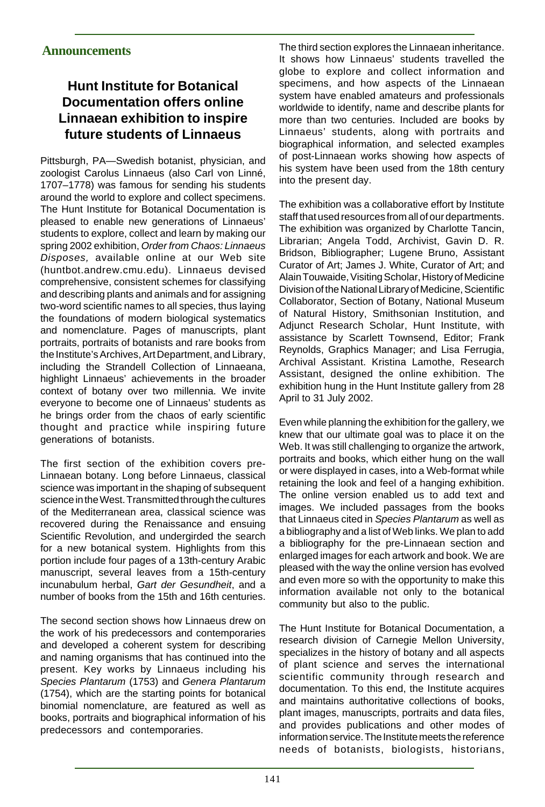# **Hunt Institute for Botanical Documentation offers online Linnaean exhibition to inspire future students of Linnaeus**

Pittsburgh, PA—Swedish botanist, physician, and zoologist Carolus Linnaeus (also Carl von Linné, 1707–1778) was famous for sending his students around the world to explore and collect specimens. The Hunt Institute for Botanical Documentation is pleased to enable new generations of Linnaeus' students to explore, collect and learn by making our spring 2002 exhibition, Order from Chaos: Linnaeus Disposes, available online at our Web site (huntbot.andrew.cmu.edu). Linnaeus devised comprehensive, consistent schemes for classifying and describing plants and animals and for assigning two-word scientific names to all species, thus laying the foundations of modern biological systematics and nomenclature. Pages of manuscripts, plant portraits, portraits of botanists and rare books from the Institute's Archives, Art Department, and Library, including the Strandell Collection of Linnaeana, highlight Linnaeus' achievements in the broader context of botany over two millennia. We invite everyone to become one of Linnaeus' students as he brings order from the chaos of early scientific thought and practice while inspiring future generations of botanists.

The first section of the exhibition covers pre-Linnaean botany. Long before Linnaeus, classical science was important in the shaping of subsequent science in the West. Transmitted through the cultures of the Mediterranean area, classical science was recovered during the Renaissance and ensuing Scientific Revolution, and undergirded the search for a new botanical system. Highlights from this portion include four pages of a 13th-century Arabic manuscript, several leaves from a 15th-century incunabulum herbal, Gart der Gesundheit, and a number of books from the 15th and 16th centuries.

The second section shows how Linnaeus drew on the work of his predecessors and contemporaries and developed a coherent system for describing and naming organisms that has continued into the present. Key works by Linnaeus including his Species Plantarum (1753) and Genera Plantarum (1754), which are the starting points for botanical binomial nomenclature, are featured as well as books, portraits and biographical information of his predecessors and contemporaries.

The third section explores the Linnaean inheritance. It shows how Linnaeus' students travelled the globe to explore and collect information and specimens, and how aspects of the Linnaean system have enabled amateurs and professionals worldwide to identify, name and describe plants for more than two centuries. Included are books by Linnaeus' students, along with portraits and biographical information, and selected examples of post-Linnaean works showing how aspects of his system have been used from the 18th century into the present day.

The exhibition was a collaborative effort by Institute staff that used resources from all of our departments. The exhibition was organized by Charlotte Tancin, Librarian; Angela Todd, Archivist, Gavin D. R. Bridson, Bibliographer; Lugene Bruno, Assistant Curator of Art; James J. White, Curator of Art; and Alain Touwaide, Visiting Scholar, History of Medicine Division of the National Library of Medicine, Scientific Collaborator, Section of Botany, National Museum of Natural History, Smithsonian Institution, and Adjunct Research Scholar, Hunt Institute, with assistance by Scarlett Townsend, Editor; Frank Reynolds, Graphics Manager; and Lisa Ferrugia, Archival Assistant. Kristina Lamothe, Research Assistant, designed the online exhibition. The exhibition hung in the Hunt Institute gallery from 28 April to 31 July 2002.

Even while planning the exhibition for the gallery, we knew that our ultimate goal was to place it on the Web. It was still challenging to organize the artwork, portraits and books, which either hung on the wall or were displayed in cases, into a Web-format while retaining the look and feel of a hanging exhibition. The online version enabled us to add text and images. We included passages from the books that Linnaeus cited in Species Plantarum as well as a bibliography and a list of Web links. We plan to add a bibliography for the pre-Linnaean section and enlarged images for each artwork and book. We are pleased with the way the online version has evolved and even more so with the opportunity to make this information available not only to the botanical community but also to the public.

The Hunt Institute for Botanical Documentation, a research division of Carnegie Mellon University, specializes in the history of botany and all aspects of plant science and serves the international scientific community through research and documentation. To this end, the Institute acquires and maintains authoritative collections of books, plant images, manuscripts, portraits and data files, and provides publications and other modes of information service. The Institute meets the reference needs of botanists, biologists, historians,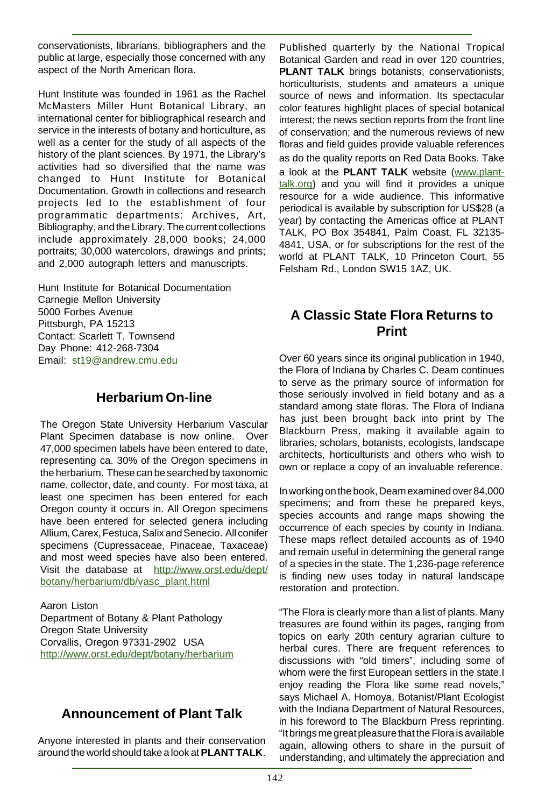conservationists, librarians, bibliographers and the public at large, especially those concerned with any aspect of the North American flora.

Hunt Institute was founded in 1961 as the Rachel McMasters Miller Hunt Botanical Library, an international center for bibliographical research and service in the interests of botany and horticulture, as well as a center for the study of all aspects of the history of the plant sciences. By 1971, the Library's activities had so diversified that the name was changed to Hunt Institute for Botanical Documentation. Growth in collections and research projects led to the establishment of four programmatic departments: Archives, Art, Bibliography, and the Library. The current collections include approximately 28,000 books; 24,000 portraits; 30,000 watercolors, drawings and prints; and 2,000 autograph letters and manuscripts.

Hunt Institute for Botanical Documentation Carnegie Mellon University 5000 Forbes Avenue Pittsburgh, PA 15213 Contact: Scarlett T. Townsend Day Phone: 412-268-7304 Email: st19@andrew.cmu.edu

#### **Herbarium On-line**

The Oregon State University Herbarium Vascular Plant Specimen database is now online. Over 47,000 specimen labels have been entered to date, representing ca. 30% of the Oregon specimens in the herbarium. These can be searched by taxonomic name, collector, date, and county. For most taxa, at least one specimen has been entered for each Oregon county it occurs in. All Oregon specimens have been entered for selected genera including Allium, Carex, Festuca, Salix and Senecio. All conifer specimens (Cupressaceae, Pinaceae, Taxaceae) and most weed species have also been entered. Visit the database at http://www.orst.edu/dept/ botany/herbarium/db/vasc\_plant.html

Aaron Liston Department of Botany & Plant Pathology Oregon State University Corvallis, Oregon 97331-2902 USA http://www.orst.edu/dept/botany/herbarium

## **Announcement of Plant Talk**

Anyone interested in plants and their conservation around the world should take a look at **PLANT TALK**.

Published quarterly by the National Tropical Botanical Garden and read in over 120 countries, **PLANT TALK** brings botanists, conservationists, horticulturists, students and amateurs a unique source of news and information. Its spectacular color features highlight places of special botanical interest; the news section reports from the front line of conservation; and the numerous reviews of new floras and field guides provide valuable references as do the quality reports on Red Data Books. Take a look at the **PLANT TALK** website (www.planttalk.org) and you will find it provides a unique resource for a wide audience. This informative periodical is available by subscription for US\$28 (a year) by contacting the Americas office at PLANT TALK, PO Box 354841, Palm Coast, FL 32135- 4841, USA, or for subscriptions for the rest of the world at PLANT TALK, 10 Princeton Court, 55 Felsham Rd., London SW15 1AZ, UK.

## **A Classic State Flora Returns to Print**

Over 60 years since its original publication in 1940, the Flora of Indiana by Charles C. Deam continues to serve as the primary source of information for those seriously involved in field botany and as a standard among state floras. The Flora of Indiana has just been brought back into print by The Blackburn Press, making it available again to libraries, scholars, botanists, ecologists, landscape architects, horticulturists and others who wish to own or replace a copy of an invaluable reference.

In working on the book, Deam examined over 84,000 specimens; and from these he prepared keys, species accounts and range maps showing the occurrence of each species by county in Indiana. These maps reflect detailed accounts as of 1940 and remain useful in determining the general range of a species in the state. The 1,236-page reference is finding new uses today in natural landscape restoration and protection.

"The Flora is clearly more than a list of plants. Many treasures are found within its pages, ranging from topics on early 20th century agrarian culture to herbal cures. There are frequent references to discussions with "old timers", including some of whom were the first European settlers in the state.I enjoy reading the Flora like some read novels," says Michael A. Homoya, Botanist/Plant Ecologist with the Indiana Department of Natural Resources, in his foreword to The Blackburn Press reprinting. "It brings me great pleasure that the Flora is available again, allowing others to share in the pursuit of understanding, and ultimately the appreciation and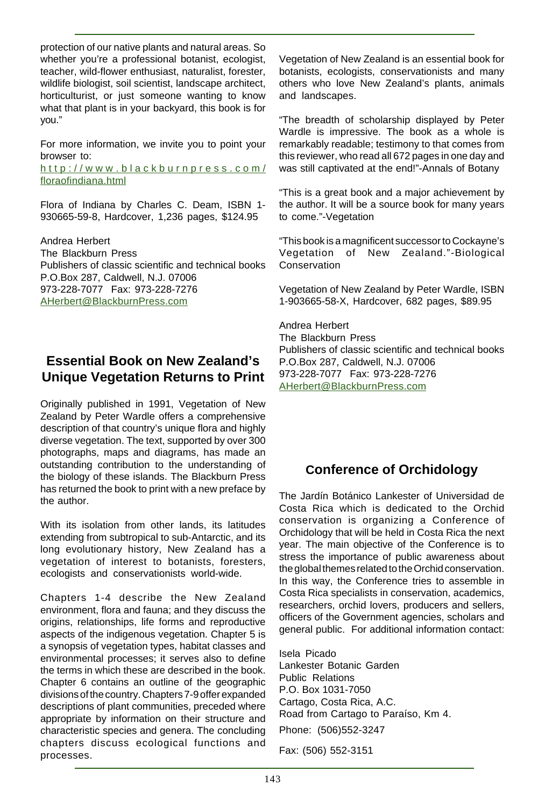protection of our native plants and natural areas. So whether you're a professional botanist, ecologist, teacher, wild-flower enthusiast, naturalist, forester, wildlife biologist, soil scientist, landscape architect, horticulturist, or just someone wanting to know what that plant is in your backyard, this book is for you."

For more information, we invite you to point your browser to:

http://www.blackburnpress.com/ floraofindiana.html

Flora of Indiana by Charles C. Deam, ISBN 1- 930665-59-8, Hardcover, 1,236 pages, \$124.95

Andrea Herbert The Blackburn Press Publishers of classic scientific and technical books P.O.Box 287, Caldwell, N.J. 07006 973-228-7077 Fax: 973-228-7276 AHerbert@BlackburnPress.com

#### **Essential Book on New Zealand's Unique Vegetation Returns to Print**

Originally published in 1991, Vegetation of New Zealand by Peter Wardle offers a comprehensive description of that country's unique flora and highly diverse vegetation. The text, supported by over 300 photographs, maps and diagrams, has made an outstanding contribution to the understanding of the biology of these islands. The Blackburn Press has returned the book to print with a new preface by the author.

With its isolation from other lands, its latitudes extending from subtropical to sub-Antarctic, and its long evolutionary history, New Zealand has a vegetation of interest to botanists, foresters, ecologists and conservationists world-wide.

Chapters 1-4 describe the New Zealand environment, flora and fauna; and they discuss the origins, relationships, life forms and reproductive aspects of the indigenous vegetation. Chapter 5 is a synopsis of vegetation types, habitat classes and environmental processes; it serves also to define the terms in which these are described in the book. Chapter 6 contains an outline of the geographic divisions of the country. Chapters 7-9 offer expanded descriptions of plant communities, preceded where appropriate by information on their structure and characteristic species and genera. The concluding chapters discuss ecological functions and processes.

Vegetation of New Zealand is an essential book for botanists, ecologists, conservationists and many others who love New Zealand's plants, animals and landscapes.

"The breadth of scholarship displayed by Peter Wardle is impressive. The book as a whole is remarkably readable; testimony to that comes from this reviewer, who read all 672 pages in one day and was still captivated at the end!"-Annals of Botany

"This is a great book and a major achievement by the author. It will be a source book for many years to come."-Vegetation

"This book is a magnificent successor to Cockayne's Vegetation of New Zealand."-Biological Conservation

Vegetation of New Zealand by Peter Wardle, ISBN 1-903665-58-X, Hardcover, 682 pages, \$89.95

Andrea Herbert The Blackburn Press Publishers of classic scientific and technical books P.O.Box 287, Caldwell, N.J. 07006 973-228-7077 Fax: 973-228-7276 AHerbert@BlackburnPress.com

## **Conference of Orchidology**

The Jardín Botánico Lankester of Universidad de Costa Rica which is dedicated to the Orchid conservation is organizing a Conference of Orchidology that will be held in Costa Rica the next year. The main objective of the Conference is to stress the importance of public awareness about the global themes related to the Orchid conservation. In this way, the Conference tries to assemble in Costa Rica specialists in conservation, academics, researchers, orchid lovers, producers and sellers, officers of the Government agencies, scholars and general public. For additional information contact:

Isela Picado Lankester Botanic Garden Public Relations P.O. Box 1031-7050 Cartago, Costa Rica, A.C. Road from Cartago to Paraíso, Km 4. Phone: (506)552-3247

Fax: (506) 552-3151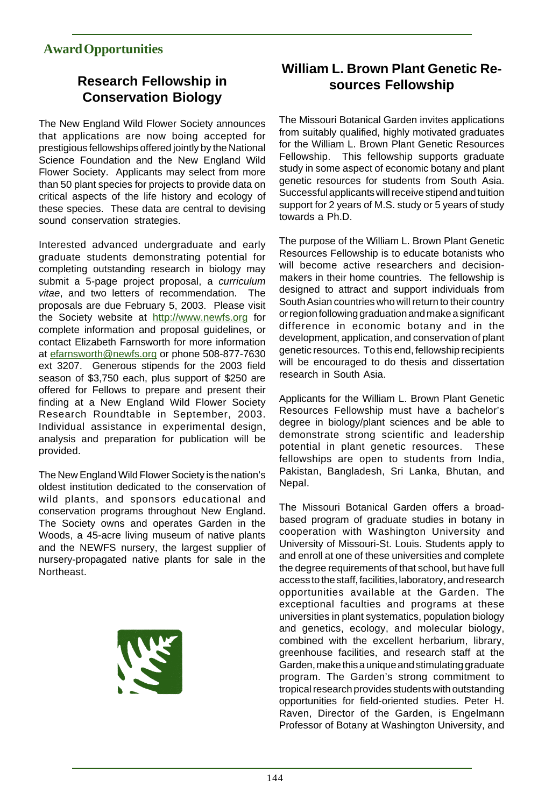## **Award Opportunities**

# **Research Fellowship in Conservation Biology**

The New England Wild Flower Society announces that applications are now boing accepted for prestigious fellowships offered jointly by the National Science Foundation and the New England Wild Flower Society. Applicants may select from more than 50 plant species for projects to provide data on critical aspects of the life history and ecology of these species. These data are central to devising sound conservation strategies.

Interested advanced undergraduate and early graduate students demonstrating potential for completing outstanding research in biology may submit a 5-page project proposal, a curriculum vitae, and two letters of recommendation. The proposals are due February 5, 2003. Please visit the Society website at http://www.newfs.org for complete information and proposal guidelines, or contact Elizabeth Farnsworth for more information at efarnsworth@newfs.org or phone 508-877-7630 ext 3207. Generous stipends for the 2003 field season of \$3,750 each, plus support of \$250 are offered for Fellows to prepare and present their finding at a New England Wild Flower Society Research Roundtable in September, 2003. Individual assistance in experimental design, analysis and preparation for publication will be provided.

The New England Wild Flower Society is the nation's oldest institution dedicated to the conservation of wild plants, and sponsors educational and conservation programs throughout New England. The Society owns and operates Garden in the Woods, a 45-acre living museum of native plants and the NEWFS nursery, the largest supplier of nursery-propagated native plants for sale in the **Northeast** 



# **William L. Brown Plant Genetic Resources Fellowship**

The Missouri Botanical Garden invites applications from suitably qualified, highly motivated graduates for the William L. Brown Plant Genetic Resources Fellowship. This fellowship supports graduate study in some aspect of economic botany and plant genetic resources for students from South Asia. Successful applicants will receive stipend and tuition support for 2 years of M.S. study or 5 years of study towards a Ph.D.

The purpose of the William L. Brown Plant Genetic Resources Fellowship is to educate botanists who will become active researchers and decisionmakers in their home countries. The fellowship is designed to attract and support individuals from South Asian countries who will return to their country or region following graduation and make a significant difference in economic botany and in the development, application, and conservation of plant genetic resources. To this end, fellowship recipients will be encouraged to do thesis and dissertation research in South Asia.

Applicants for the William L. Brown Plant Genetic Resources Fellowship must have a bachelor's degree in biology/plant sciences and be able to demonstrate strong scientific and leadership potential in plant genetic resources. These fellowships are open to students from India, Pakistan, Bangladesh, Sri Lanka, Bhutan, and Nepal.

The Missouri Botanical Garden offers a broadbased program of graduate studies in botany in cooperation with Washington University and University of Missouri-St. Louis. Students apply to and enroll at one of these universities and complete the degree requirements of that school, but have full access to the staff, facilities, laboratory, and research opportunities available at the Garden. The exceptional faculties and programs at these universities in plant systematics, population biology and genetics, ecology, and molecular biology, combined with the excellent herbarium, library, greenhouse facilities, and research staff at the Garden, make this a unique and stimulating graduate program. The Garden's strong commitment to tropical research provides students with outstanding opportunities for field-oriented studies. Peter H. Raven, Director of the Garden, is Engelmann Professor of Botany at Washington University, and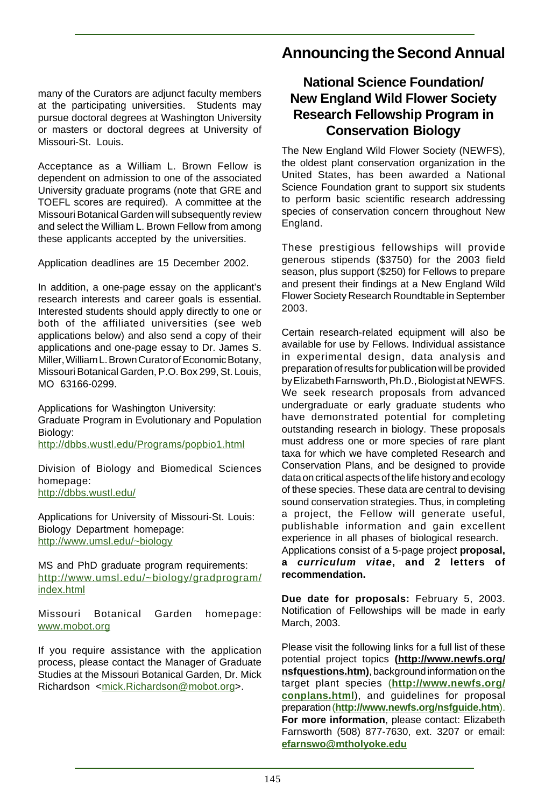many of the Curators are adjunct faculty members at the participating universities. Students may pursue doctoral degrees at Washington University or masters or doctoral degrees at University of Missouri-St. Louis.

Acceptance as a William L. Brown Fellow is dependent on admission to one of the associated University graduate programs (note that GRE and TOEFL scores are required). A committee at the Missouri Botanical Garden will subsequently review and select the William L. Brown Fellow from among these applicants accepted by the universities.

Application deadlines are 15 December 2002.

In addition, a one-page essay on the applicant's research interests and career goals is essential. Interested students should apply directly to one or both of the affiliated universities (see web applications below) and also send a copy of their applications and one-page essay to Dr. James S. Miller, William L. Brown Curator of Economic Botany, Missouri Botanical Garden, P.O. Box 299, St. Louis, MO 63166-0299.

Applications for Washington University: Graduate Program in Evolutionary and Population Biology:

http://dbbs.wustl.edu/Programs/popbio1.html

Division of Biology and Biomedical Sciences homepage: http://dbbs.wustl.edu/

Applications for University of Missouri-St. Louis: Biology Department homepage: http://www.umsl.edu/~biology

MS and PhD graduate program requirements: http://www.umsl.edu/~biology/gradprogram/ index.html

Missouri Botanical Garden homepage: www.mobot.org

If you require assistance with the application process, please contact the Manager of Graduate Studies at the Missouri Botanical Garden, Dr. Mick Richardson <mick.Richardson@mobot.org>.

# **Announcing the Second Annual**

# **National Science Foundation/ New England Wild Flower Society Research Fellowship Program in Conservation Biology**

The New England Wild Flower Society (NEWFS), the oldest plant conservation organization in the United States, has been awarded a National Science Foundation grant to support six students to perform basic scientific research addressing species of conservation concern throughout New England.

These prestigious fellowships will provide generous stipends (\$3750) for the 2003 field season, plus support (\$250) for Fellows to prepare and present their findings at a New England Wild Flower Society Research Roundtable in September 2003.

Certain research-related equipment will also be available for use by Fellows. Individual assistance in experimental design, data analysis and preparation of results for publication will be provided by Elizabeth Farnsworth, Ph.D., Biologist at NEWFS. We seek research proposals from advanced undergraduate or early graduate students who have demonstrated potential for completing outstanding research in biology. These proposals must address one or more species of rare plant taxa for which we have completed Research and Conservation Plans, and be designed to provide data on critical aspects of the life history and ecology of these species. These data are central to devising sound conservation strategies. Thus, in completing a project, the Fellow will generate useful, publishable information and gain excellent experience in all phases of biological research. Applications consist of a 5-page project **proposal,**

**a curriculum vitae, and 2 letters of recommendation.**

**Due date for proposals:** February 5, 2003. Notification of Fellowships will be made in early March, 2003.

Please visit the following links for a full list of these potential project topics **(http://www.newfs.org/ nsfquestions.htm)**, background information on the target plant species (**http://www.newfs.org/ conplans.html**), and guidelines for proposal preparation (**http://www.newfs.org/nsfguide.htm**). **For more information**, please contact: Elizabeth Farnsworth (508) 877-7630, ext. 3207 or email: **efarnswo@mtholyoke.edu**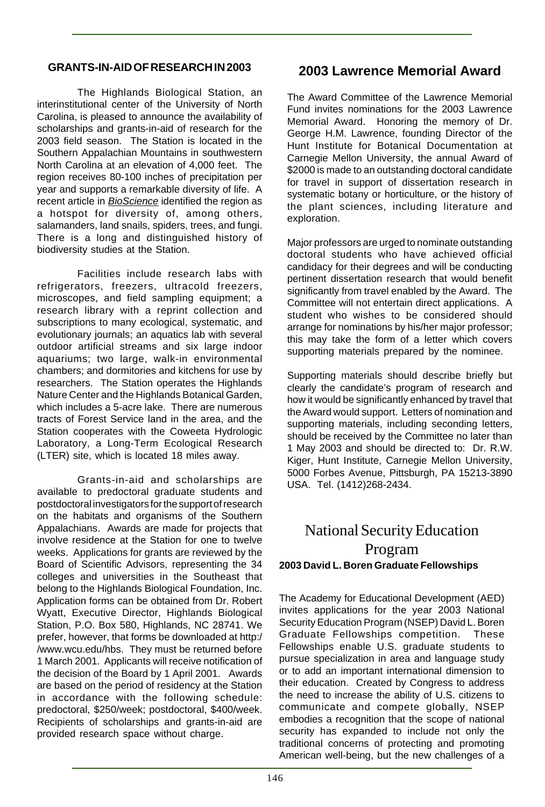#### **GRANTS-IN-AID OF RESEARCH IN 2003**

The Highlands Biological Station, an interinstitutional center of the University of North Carolina, is pleased to announce the availability of scholarships and grants-in-aid of research for the 2003 field season. The Station is located in the Southern Appalachian Mountains in southwestern North Carolina at an elevation of 4,000 feet. The region receives 80-100 inches of precipitation per year and supports a remarkable diversity of life. A recent article in BioScience identified the region as a hotspot for diversity of, among others, salamanders, land snails, spiders, trees, and fungi. There is a long and distinguished history of biodiversity studies at the Station.

Facilities include research labs with refrigerators, freezers, ultracold freezers, microscopes, and field sampling equipment; a research library with a reprint collection and subscriptions to many ecological, systematic, and evolutionary journals; an aquatics lab with several outdoor artificial streams and six large indoor aquariums; two large, walk-in environmental chambers; and dormitories and kitchens for use by researchers. The Station operates the Highlands Nature Center and the Highlands Botanical Garden, which includes a 5-acre lake. There are numerous tracts of Forest Service land in the area, and the Station cooperates with the Coweeta Hydrologic Laboratory, a Long-Term Ecological Research (LTER) site, which is located 18 miles away.

Grants-in-aid and scholarships are available to predoctoral graduate students and postdoctoral investigators for the support of research on the habitats and organisms of the Southern Appalachians. Awards are made for projects that involve residence at the Station for one to twelve weeks. Applications for grants are reviewed by the Board of Scientific Advisors, representing the 34 colleges and universities in the Southeast that belong to the Highlands Biological Foundation, Inc. Application forms can be obtained from Dr. Robert Wyatt, Executive Director, Highlands Biological Station, P.O. Box 580, Highlands, NC 28741. We prefer, however, that forms be downloaded at http:/ /www.wcu.edu/hbs. They must be returned before 1 March 2001. Applicants will receive notification of the decision of the Board by 1 April 2001. Awards are based on the period of residency at the Station in accordance with the following schedule: predoctoral, \$250/week; postdoctoral, \$400/week. Recipients of scholarships and grants-in-aid are provided research space without charge.

#### **2003 Lawrence Memorial Award**

The Award Committee of the Lawrence Memorial Fund invites nominations for the 2003 Lawrence Memorial Award. Honoring the memory of Dr. George H.M. Lawrence, founding Director of the Hunt Institute for Botanical Documentation at Carnegie Mellon University, the annual Award of \$2000 is made to an outstanding doctoral candidate for travel in support of dissertation research in systematic botany or horticulture, or the history of the plant sciences, including literature and exploration.

Major professors are urged to nominate outstanding doctoral students who have achieved official candidacy for their degrees and will be conducting pertinent dissertation research that would benefit significantly from travel enabled by the Award. The Committee will not entertain direct applications. A student who wishes to be considered should arrange for nominations by his/her major professor; this may take the form of a letter which covers supporting materials prepared by the nominee.

Supporting materials should describe briefly but clearly the candidate's program of research and how it would be significantly enhanced by travel that the Award would support. Letters of nomination and supporting materials, including seconding letters, should be received by the Committee no later than 1 May 2003 and should be directed to: Dr. R.W. Kiger, Hunt Institute, Carnegie Mellon University, 5000 Forbes Avenue, Pittsburgh, PA 15213-3890 USA. Tel. (1412)268-2434.

# National Security Education Program **2003 David L. Boren Graduate Fellowships**

The Academy for Educational Development (AED) invites applications for the year 2003 National Security Education Program (NSEP) David L. Boren Graduate Fellowships competition. These Fellowships enable U.S. graduate students to pursue specialization in area and language study or to add an important international dimension to their education. Created by Congress to address the need to increase the ability of U.S. citizens to communicate and compete globally, NSEP embodies a recognition that the scope of national security has expanded to include not only the traditional concerns of protecting and promoting American well-being, but the new challenges of a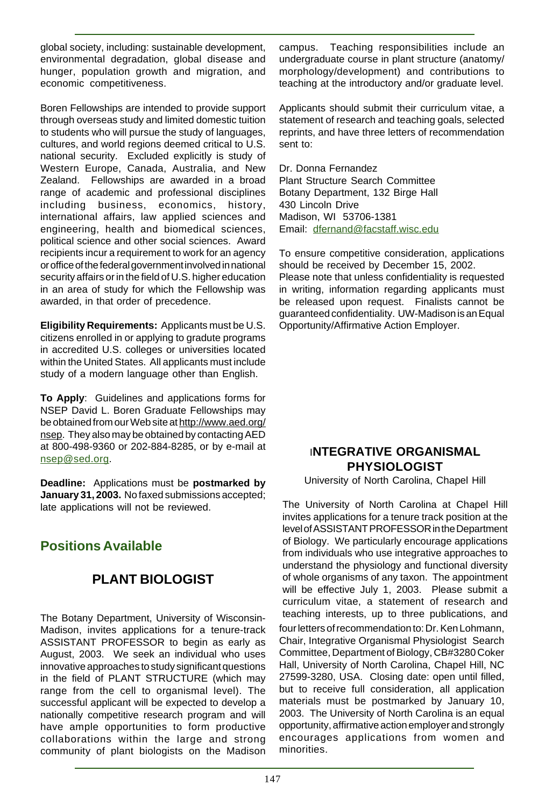global society, including: sustainable development, environmental degradation, global disease and hunger, population growth and migration, and economic competitiveness.

Boren Fellowships are intended to provide support through overseas study and limited domestic tuition to students who will pursue the study of languages, cultures, and world regions deemed critical to U.S. national security. Excluded explicitly is study of Western Europe, Canada, Australia, and New Zealand. Fellowships are awarded in a broad range of academic and professional disciplines including business, economics, history, international affairs, law applied sciences and engineering, health and biomedical sciences, political science and other social sciences. Award recipients incur a requirement to work for an agency or office of the federal government involved in national security affairs or in the field of U.S. higher education in an area of study for which the Fellowship was awarded, in that order of precedence.

**Eligibility Requirements:** Applicants must be U.S. citizens enrolled in or applying to gradute programs in accredited U.S. colleges or universities located within the United States. All applicants must include study of a modern language other than English.

**To Apply**: Guidelines and applications forms for NSEP David L. Boren Graduate Fellowships may be obtained from our Web site at http://www.aed.org/ nsep. They also may be obtained by contacting AED at 800-498-9360 or 202-884-8285, or by e-mail at nsep@sed.org.

**Deadline:** Applications must be **postmarked by January 31, 2003.** No faxed submissions accepted; late applications will not be reviewed.

# **Positions Available**

# **PLANT BIOLOGIST**

The Botany Department, University of Wisconsin-Madison, invites applications for a tenure-track ASSISTANT PROFESSOR to begin as early as August, 2003. We seek an individual who uses innovative approaches to study significant questions in the field of PLANT STRUCTURE (which may range from the cell to organismal level). The successful applicant will be expected to develop a nationally competitive research program and will have ample opportunities to form productive collaborations within the large and strong community of plant biologists on the Madison campus. Teaching responsibilities include an undergraduate course in plant structure (anatomy/ morphology/development) and contributions to teaching at the introductory and/or graduate level.

Applicants should submit their curriculum vitae, a statement of research and teaching goals, selected reprints, and have three letters of recommendation sent to:

Dr. Donna Fernandez Plant Structure Search Committee Botany Department, 132 Birge Hall 430 Lincoln Drive Madison, WI 53706-1381 Email: dfernand@facstaff.wisc.edu

To ensure competitive consideration, applications should be received by December 15, 2002. Please note that unless confidentiality is requested in writing, information regarding applicants must be released upon request. Finalists cannot be guaranteed confidentiality. UW-Madison is an Equal Opportunity/Affirmative Action Employer.

#### I**NTEGRATIVE ORGANISMAL PHYSIOLOGIST**

University of North Carolina, Chapel Hill

The University of North Carolina at Chapel Hill invites applications for a tenure track position at the level of ASSISTANT PROFESSOR in the Department of Biology. We particularly encourage applications from individuals who use integrative approaches to understand the physiology and functional diversity of whole organisms of any taxon. The appointment will be effective July 1, 2003. Please submit a curriculum vitae, a statement of research and teaching interests, up to three publications, and

four letters of recommendation to: Dr. Ken Lohmann, Chair, Integrative Organismal Physiologist Search Committee, Department of Biology, CB#3280 Coker Hall, University of North Carolina, Chapel Hill, NC 27599-3280, USA. Closing date: open until filled, but to receive full consideration, all application materials must be postmarked by January 10, 2003. The University of North Carolina is an equal opportunity, affirmative action employer and strongly encourages applications from women and minorities.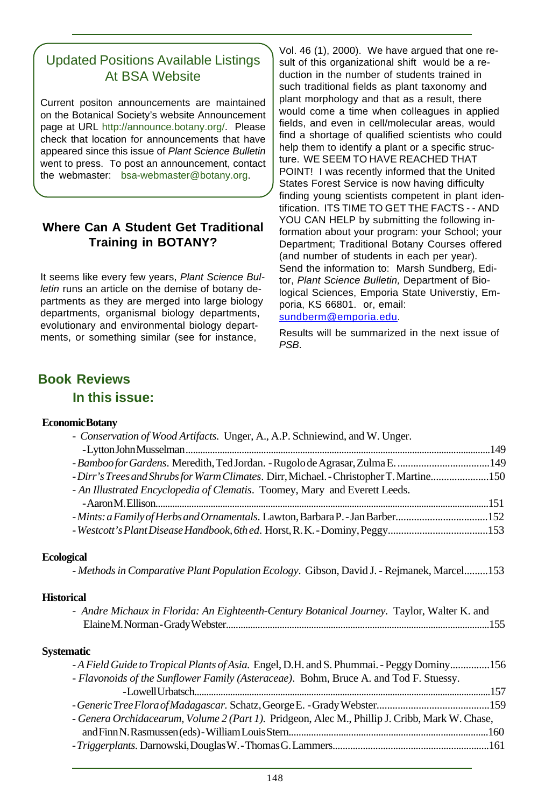# Updated Positions Available Listings At BSA Website

Current positon announcements are maintained on the Botanical Society's website Announcement page at URL http://announce.botany.org/. Please check that location for announcements that have appeared since this issue of Plant Science Bulletin went to press. To post an announcement, contact the webmaster: bsa-webmaster@botany.org.

#### **Where Can A Student Get Traditional Training in BOTANY?**

It seems like every few years, Plant Science Bulletin runs an article on the demise of botany departments as they are merged into large biology departments, organismal biology departments, evolutionary and environmental biology departments, or something similar (see for instance,

Vol. 46 (1), 2000). We have argued that one result of this organizational shift would be a reduction in the number of students trained in such traditional fields as plant taxonomy and plant morphology and that as a result, there would come a time when colleagues in applied fields, and even in cell/molecular areas, would find a shortage of qualified scientists who could help them to identify a plant or a specific structure. WE SEEM TO HAVE REACHED THAT POINT! I was recently informed that the United States Forest Service is now having difficulty finding young scientists competent in plant identification. ITS TIME TO GET THE FACTS - - AND YOU CAN HELP by submitting the following information about your program: your School; your Department; Traditional Botany Courses offered (and number of students in each per year). Send the information to: Marsh Sundberg, Editor, Plant Science Bulletin, Department of Biological Sciences, Emporia State Universtiy, Emporia, KS 66801. or, email: sundberm@emporia.edu.

Results will be summarized in the next issue of PSB.

## **Book Reviews**

**In this issue:**

#### **Economic Botany**

| - Bamboo for Gardens. Meredith, Ted Jordan. - Rugolo de Agrasar, Zulma E. 149                  |  |
|------------------------------------------------------------------------------------------------|--|
| - Dirr's Trees and Shrubs for Warm Climates. Dirr, Michael. - Christopher T. Martine150        |  |
| - An Illustrated Encyclopedia of Clematis. Toomey, Mary and Everett Leeds.                     |  |
|                                                                                                |  |
| - Mints: a Family of Herbs and Ornamentals. Lawton, Barbara P. - Jan Barber152                 |  |
| - Westcott's Plant Disease Handbook, 6th ed. Horst, R. K. - Dominy, Peggy153                   |  |
| <b>Ecological</b>                                                                              |  |
| - Methods in Comparative Plant Population Ecology. Gibson, David J. - Rejmanek, Marcel153      |  |
| <b>Historical</b>                                                                              |  |
| - Andre Michaux in Florida: An Eighteenth-Century Botanical Journey. Taylor, Walter K. and     |  |
|                                                                                                |  |
|                                                                                                |  |
| <b>Systematic</b>                                                                              |  |
| -A Field Guide to Tropical Plants of Asia. Engel, D.H. and S. Phummai. - Peggy Dominy156       |  |
| - Flavonoids of the Sunflower Family (Asteraceae). Bohm, Bruce A. and Tod F. Stuessy.          |  |
|                                                                                                |  |
|                                                                                                |  |
| - Genera Orchidacearum, Volume 2 (Part 1). Pridgeon, Alec M., Phillip J. Cribb, Mark W. Chase, |  |
|                                                                                                |  |
|                                                                                                |  |
|                                                                                                |  |

- *Conservation of Wood Artifacts.* Unger, A., A.P. Schniewind, and W. Unger.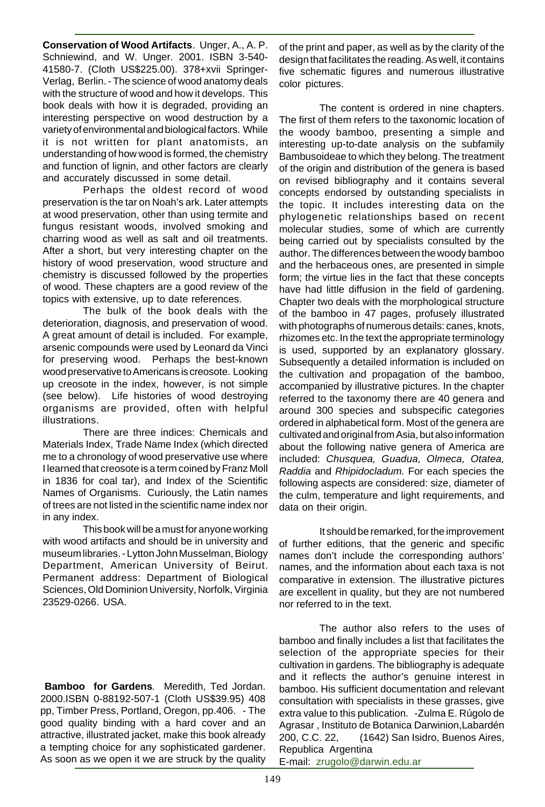**Conservation of Wood Artifacts**. Unger, A., A. P. Schniewind, and W. Unger. 2001. ISBN 3-540- 41580-7. (Cloth US\$225.00). 378+xvii Springer-Verlag, Berlin. - The science of wood anatomy deals with the structure of wood and how it develops. This book deals with how it is degraded, providing an interesting perspective on wood destruction by a variety of environmental and biological factors. While it is not written for plant anatomists, an understanding of how wood is formed, the chemistry and function of lignin, and other factors are clearly and accurately discussed in some detail.

Perhaps the oldest record of wood preservation is the tar on Noah's ark. Later attempts at wood preservation, other than using termite and fungus resistant woods, involved smoking and charring wood as well as salt and oil treatments. After a short, but very interesting chapter on the history of wood preservation, wood structure and chemistry is discussed followed by the properties of wood. These chapters are a good review of the topics with extensive, up to date references.

The bulk of the book deals with the deterioration, diagnosis, and preservation of wood. A great amount of detail is included. For example, arsenic compounds were used by Leonard da Vinci for preserving wood. Perhaps the best-known wood preservative to Americans is creosote. Looking up creosote in the index, however, is not simple (see below). Life histories of wood destroying organisms are provided, often with helpful illustrations.

There are three indices: Chemicals and Materials Index, Trade Name Index (which directed me to a chronology of wood preservative use where I learned that creosote is a term coined by Franz Moll in 1836 for coal tar), and Index of the Scientific Names of Organisms. Curiously, the Latin names of trees are not listed in the scientific name index nor in any index.

This book will be a must for anyone working with wood artifacts and should be in university and museum libraries. - Lytton John Musselman, Biology Department, American University of Beirut. Permanent address: Department of Biological Sciences, Old Dominion University, Norfolk, Virginia 23529-0266. USA.

**Bamboo for Gardens**. Meredith, Ted Jordan. 2000.ISBN 0-88192-507-1 (Cloth US\$39.95) 408 pp, Timber Press, Portland, Oregon, pp.406. - The good quality binding with a hard cover and an attractive, illustrated jacket, make this book already a tempting choice for any sophisticated gardener. As soon as we open it we are struck by the quality

of the print and paper, as well as by the clarity of the design that facilitates the reading. As well, it contains five schematic figures and numerous illustrative color pictures.

The content is ordered in nine chapters. The first of them refers to the taxonomic location of the woody bamboo, presenting a simple and interesting up-to-date analysis on the subfamily Bambusoideae to which they belong. The treatment of the origin and distribution of the genera is based on revised bibliography and it contains several concepts endorsed by outstanding specialists in the topic. It includes interesting data on the phylogenetic relationships based on recent molecular studies, some of which are currently being carried out by specialists consulted by the author. The differences between the woody bamboo and the herbaceous ones, are presented in simple form; the virtue lies in the fact that these concepts have had little diffusion in the field of gardening. Chapter two deals with the morphological structure of the bamboo in 47 pages, profusely illustrated with photographs of numerous details: canes, knots, rhizomes etc. In the text the appropriate terminology is used, supported by an explanatory glossary. Subsequently a detailed information is included on the cultivation and propagation of the bamboo, accompanied by illustrative pictures. In the chapter referred to the taxonomy there are 40 genera and around 300 species and subspecific categories ordered in alphabetical form. Most of the genera are cultivated and original from Asia, but also information about the following native genera of America are included: Chusquea, Guadua, Olmeca, Otatea, Raddia and Rhipidocladum. For each species the following aspects are considered: size, diameter of the culm, temperature and light requirements, and data on their origin.

It should be remarked, for the improvement of further editions, that the generic and specific names don't include the corresponding authors' names, and the information about each taxa is not comparative in extension. The illustrative pictures are excellent in quality, but they are not numbered nor referred to in the text.

The author also refers to the uses of bamboo and finally includes a list that facilitates the selection of the appropriate species for their cultivation in gardens. The bibliography is adequate and it reflects the author's genuine interest in bamboo. His sufficient documentation and relevant consultation with specialists in these grasses, give extra value to this publication. -Zulma E. Rúgolo de Agrasar , Instituto de Botanica Darwinion,Labardén 200, C.C. 22, (1642) San Isidro, Buenos Aires, Republica Argentina E-mail: zrugolo@darwin.edu.ar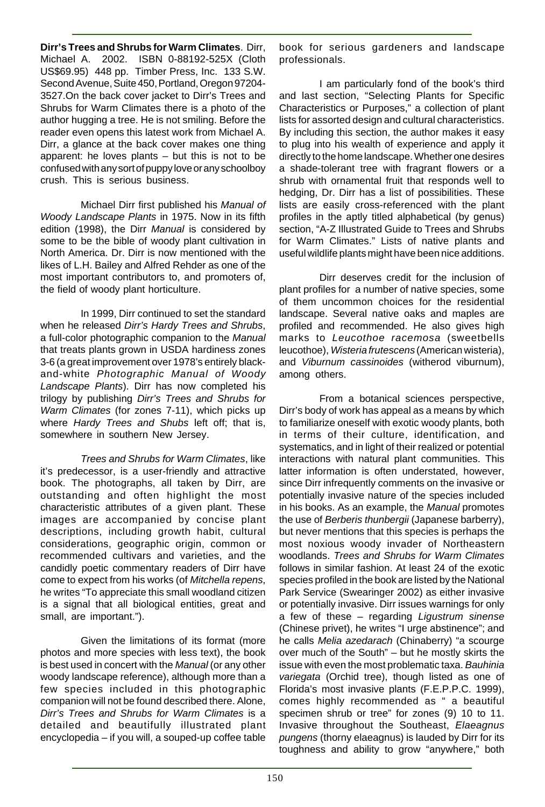**Dirr's Trees and Shrubs for Warm Climates**. Dirr, Michael A. 2002. ISBN 0-88192-525X (Cloth US\$69.95) 448 pp. Timber Press, Inc. 133 S.W. Second Avenue, Suite 450, Portland, Oregon 97204- 3527.On the back cover jacket to Dirr's Trees and Shrubs for Warm Climates there is a photo of the author hugging a tree. He is not smiling. Before the reader even opens this latest work from Michael A. Dirr, a glance at the back cover makes one thing apparent: he loves plants – but this is not to be confused with any sort of puppy love or any schoolboy crush. This is serious business.

Michael Dirr first published his Manual of Woody Landscape Plants in 1975. Now in its fifth edition (1998), the Dirr Manual is considered by some to be the bible of woody plant cultivation in North America. Dr. Dirr is now mentioned with the likes of L.H. Bailey and Alfred Rehder as one of the most important contributors to, and promoters of, the field of woody plant horticulture.

In 1999, Dirr continued to set the standard when he released Dirr's Hardy Trees and Shrubs, a full-color photographic companion to the Manual that treats plants grown in USDA hardiness zones 3-6 (a great improvement over 1978's entirely blackand-white Photographic Manual of Woody Landscape Plants). Dirr has now completed his trilogy by publishing Dirr's Trees and Shrubs for Warm Climates (for zones 7-11), which picks up where Hardy Trees and Shubs left off: that is, somewhere in southern New Jersey.

Trees and Shrubs for Warm Climates, like it's predecessor, is a user-friendly and attractive book. The photographs, all taken by Dirr, are outstanding and often highlight the most characteristic attributes of a given plant. These images are accompanied by concise plant descriptions, including growth habit, cultural considerations, geographic origin, common or recommended cultivars and varieties, and the candidly poetic commentary readers of Dirr have come to expect from his works (of Mitchella repens, he writes "To appreciate this small woodland citizen is a signal that all biological entities, great and small, are important.").

Given the limitations of its format (more photos and more species with less text), the book is best used in concert with the Manual (or any other woody landscape reference), although more than a few species included in this photographic companion will not be found described there. Alone, Dirr's Trees and Shrubs for Warm Climates is a detailed and beautifully illustrated plant encyclopedia – if you will, a souped-up coffee table

book for serious gardeners and landscape professionals.

I am particularly fond of the book's third and last section, "Selecting Plants for Specific Characteristics or Purposes," a collection of plant lists for assorted design and cultural characteristics. By including this section, the author makes it easy to plug into his wealth of experience and apply it directly to the home landscape. Whether one desires a shade-tolerant tree with fragrant flowers or a shrub with ornamental fruit that responds well to hedging, Dr. Dirr has a list of possibilities. These lists are easily cross-referenced with the plant profiles in the aptly titled alphabetical (by genus) section, "A-Z Illustrated Guide to Trees and Shrubs for Warm Climates." Lists of native plants and useful wildlife plants might have been nice additions.

Dirr deserves credit for the inclusion of plant profiles for a number of native species, some of them uncommon choices for the residential landscape. Several native oaks and maples are profiled and recommended. He also gives high marks to Leucothoe racemosa (sweetbells leucothoe), *Wisteria frutescens* (American wisteria), and Viburnum cassinoides (witherod viburnum), among others.

From a botanical sciences perspective, Dirr's body of work has appeal as a means by which to familiarize oneself with exotic woody plants, both in terms of their culture, identification, and systematics, and in light of their realized or potential interactions with natural plant communities. This latter information is often understated, however, since Dirr infrequently comments on the invasive or potentially invasive nature of the species included in his books. As an example, the Manual promotes the use of Berberis thunbergii (Japanese barberry), but never mentions that this species is perhaps the most noxious woody invader of Northeastern woodlands. Trees and Shrubs for Warm Climates follows in similar fashion. At least 24 of the exotic species profiled in the book are listed by the National Park Service (Swearinger 2002) as either invasive or potentially invasive. Dirr issues warnings for only a few of these – regarding Ligustrum sinense (Chinese privet), he writes "I urge abstinence"; and he calls Melia azedarach (Chinaberry) "a scourge over much of the South" – but he mostly skirts the issue with even the most problematic taxa. Bauhinia variegata (Orchid tree), though listed as one of Florida's most invasive plants (F.E.P.P.C. 1999), comes highly recommended as " a beautiful specimen shrub or tree" for zones (9) 10 to 11. Invasive throughout the Southeast, Elaeagnus pungens (thorny elaeagnus) is lauded by Dirr for its toughness and ability to grow "anywhere," both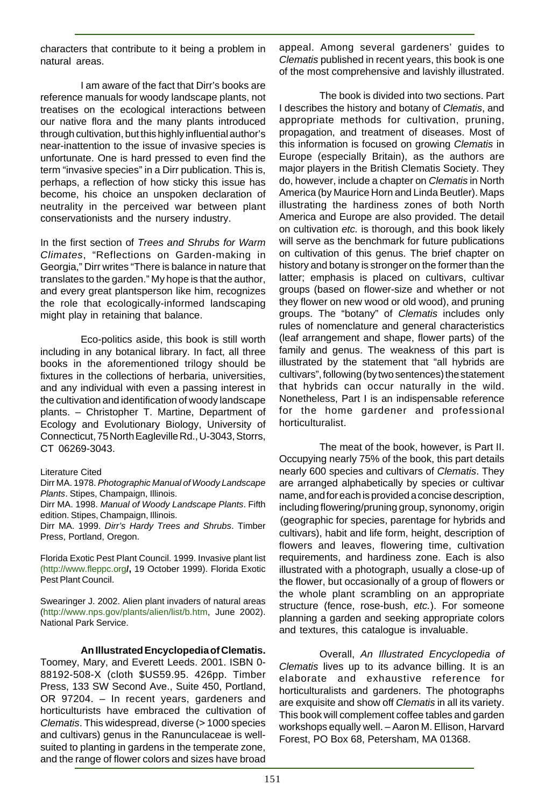characters that contribute to it being a problem in natural areas.

I am aware of the fact that Dirr's books are reference manuals for woody landscape plants, not treatises on the ecological interactions between our native flora and the many plants introduced through cultivation, but this highly influential author's near-inattention to the issue of invasive species is unfortunate. One is hard pressed to even find the term "invasive species" in a Dirr publication. This is, perhaps, a reflection of how sticky this issue has become, his choice an unspoken declaration of neutrality in the perceived war between plant conservationists and the nursery industry.

In the first section of Trees and Shrubs for Warm Climates, "Reflections on Garden-making in Georgia," Dirr writes "There is balance in nature that translates to the garden." My hope is that the author, and every great plantsperson like him, recognizes the role that ecologically-informed landscaping might play in retaining that balance.

Eco-politics aside, this book is still worth including in any botanical library. In fact, all three books in the aforementioned trilogy should be fixtures in the collections of herbaria, universities, and any individual with even a passing interest in the cultivation and identification of woody landscape plants. – Christopher T. Martine, Department of Ecology and Evolutionary Biology, University of Connecticut, 75 North Eagleville Rd., U-3043, Storrs, CT 06269-3043.

#### Literature Cited

Dirr MA. 1978. Photographic Manual of Woody Landscape Plants. Stipes, Champaign, Illinois.

Dirr MA. 1998. Manual of Woody Landscape Plants. Fifth edition. Stipes, Champaign, Illinois.

Dirr MA. 1999. Dirr's Hardy Trees and Shrubs. Timber Press, Portland, Oregon.

Florida Exotic Pest Plant Council. 1999. Invasive plant list (http://www.fleppc.org**/,** 19 October 1999). Florida Exotic Pest Plant Council.

Swearinger J. 2002. Alien plant invaders of natural areas (http://www.nps.gov/plants/alien/list/b.htm, June 2002). National Park Service.

**An Illustrated Encyclopedia of Clematis.**

Toomey, Mary, and Everett Leeds. 2001. ISBN 0- 88192-508-X (cloth \$US59.95. 426pp. Timber Press, 133 SW Second Ave., Suite 450, Portland, OR 97204. – In recent years, gardeners and horticulturists have embraced the cultivation of Clematis. This widespread, diverse (> 1000 species and cultivars) genus in the Ranunculaceae is wellsuited to planting in gardens in the temperate zone, and the range of flower colors and sizes have broad

appeal. Among several gardeners' guides to Clematis published in recent years, this book is one of the most comprehensive and lavishly illustrated.

The book is divided into two sections. Part I describes the history and botany of Clematis, and appropriate methods for cultivation, pruning, propagation, and treatment of diseases. Most of this information is focused on growing Clematis in Europe (especially Britain), as the authors are major players in the British Clematis Society. They do, however, include a chapter on Clematis in North America (by Maurice Horn and Linda Beutler). Maps illustrating the hardiness zones of both North America and Europe are also provided. The detail on cultivation etc. is thorough, and this book likely will serve as the benchmark for future publications on cultivation of this genus. The brief chapter on history and botany is stronger on the former than the latter; emphasis is placed on cultivars, cultivar groups (based on flower-size and whether or not they flower on new wood or old wood), and pruning groups. The "botany" of Clematis includes only rules of nomenclature and general characteristics (leaf arrangement and shape, flower parts) of the family and genus. The weakness of this part is illustrated by the statement that "all hybrids are cultivars", following (by two sentences) the statement that hybrids can occur naturally in the wild. Nonetheless, Part I is an indispensable reference for the home gardener and professional horticulturalist.

The meat of the book, however, is Part II. Occupying nearly 75% of the book, this part details nearly 600 species and cultivars of Clematis. They are arranged alphabetically by species or cultivar name, and for each is provided a concise description, including flowering/pruning group, synonomy, origin (geographic for species, parentage for hybrids and cultivars), habit and life form, height, description of flowers and leaves, flowering time, cultivation requirements, and hardiness zone. Each is also illustrated with a photograph, usually a close-up of the flower, but occasionally of a group of flowers or the whole plant scrambling on an appropriate structure (fence, rose-bush, etc.). For someone planning a garden and seeking appropriate colors and textures, this catalogue is invaluable.

Overall, An Illustrated Encyclopedia of Clematis lives up to its advance billing. It is an elaborate and exhaustive reference for horticulturalists and gardeners. The photographs are exquisite and show off Clematis in all its variety. This book will complement coffee tables and garden workshops equally well. – Aaron M. Ellison, Harvard Forest, PO Box 68, Petersham, MA 01368.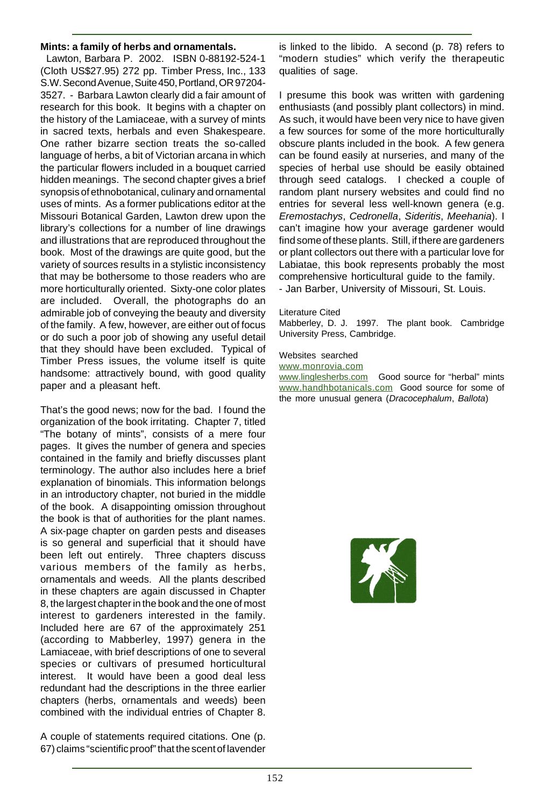#### **Mints: a family of herbs and ornamentals.**

Lawton, Barbara P. 2002. ISBN 0-88192-524-1 (Cloth US\$27.95) 272 pp. Timber Press, Inc., 133 S.W. Second Avenue, Suite 450, Portland, OR 97204- 3527. - Barbara Lawton clearly did a fair amount of research for this book. It begins with a chapter on the history of the Lamiaceae, with a survey of mints in sacred texts, herbals and even Shakespeare. One rather bizarre section treats the so-called language of herbs, a bit of Victorian arcana in which the particular flowers included in a bouquet carried hidden meanings. The second chapter gives a brief synopsis of ethnobotanical, culinary and ornamental uses of mints. As a former publications editor at the Missouri Botanical Garden, Lawton drew upon the library's collections for a number of line drawings and illustrations that are reproduced throughout the book. Most of the drawings are quite good, but the variety of sources results in a stylistic inconsistency that may be bothersome to those readers who are more horticulturally oriented. Sixty-one color plates are included. Overall, the photographs do an admirable job of conveying the beauty and diversity of the family. A few, however, are either out of focus or do such a poor job of showing any useful detail that they should have been excluded. Typical of Timber Press issues, the volume itself is quite handsome: attractively bound, with good quality paper and a pleasant heft.

That's the good news; now for the bad. I found the organization of the book irritating. Chapter 7, titled "The botany of mints", consists of a mere four pages. It gives the number of genera and species contained in the family and briefly discusses plant terminology. The author also includes here a brief explanation of binomials. This information belongs in an introductory chapter, not buried in the middle of the book. A disappointing omission throughout the book is that of authorities for the plant names. A six-page chapter on garden pests and diseases is so general and superficial that it should have been left out entirely. Three chapters discuss various members of the family as herbs, ornamentals and weeds. All the plants described in these chapters are again discussed in Chapter 8, the largest chapter in the book and the one of most interest to gardeners interested in the family. Included here are 67 of the approximately 251 (according to Mabberley, 1997) genera in the Lamiaceae, with brief descriptions of one to several species or cultivars of presumed horticultural interest. It would have been a good deal less redundant had the descriptions in the three earlier chapters (herbs, ornamentals and weeds) been combined with the individual entries of Chapter 8.

A couple of statements required citations. One (p. 67) claims "scientific proof" that the scent of lavender is linked to the libido. A second (p. 78) refers to "modern studies" which verify the therapeutic qualities of sage.

I presume this book was written with gardening enthusiasts (and possibly plant collectors) in mind. As such, it would have been very nice to have given a few sources for some of the more horticulturally obscure plants included in the book. A few genera can be found easily at nurseries, and many of the species of herbal use should be easily obtained through seed catalogs. I checked a couple of random plant nursery websites and could find no entries for several less well-known genera (e.g. Eremostachys, Cedronella, Sideritis, Meehania). I can't imagine how your average gardener would find some of these plants. Still, if there are gardeners or plant collectors out there with a particular love for Labiatae, this book represents probably the most comprehensive horticultural guide to the family. - Jan Barber, University of Missouri, St. Louis.

#### Literature Cited

Mabberley, D. J. 1997. The plant book. Cambridge University Press, Cambridge.

#### Websites searched

www.monrovia.com

www.linglesherbs.com Good source for "herbal" mints www.handhbotanicals.com Good source for some of the more unusual genera (Dracocephalum, Ballota)

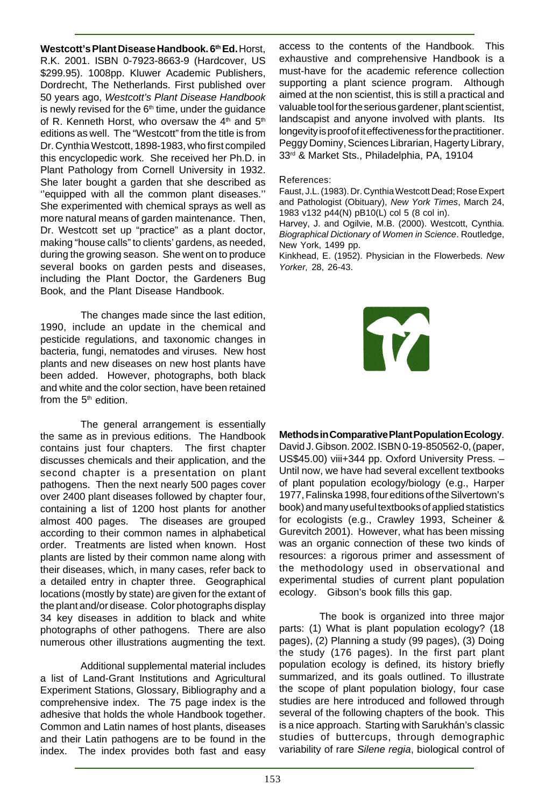**Westcott's Plant Disease Handbook. 6th Ed.** Horst, R.K. 2001. ISBN 0-7923-8663-9 (Hardcover, US \$299.95). 1008pp. Kluwer Academic Publishers, Dordrecht, The Netherlands. First published over 50 years ago, Westcott's Plant Disease Handbook is newly revised for the  $6<sup>th</sup>$  time, under the quidance of R. Kenneth Horst, who oversaw the  $4<sup>th</sup>$  and  $5<sup>th</sup>$ editions as well. The "Westcott" from the title is from Dr. Cynthia Westcott, 1898-1983, who first compiled this encyclopedic work. She received her Ph.D. in Plant Pathology from Cornell University in 1932. She later bought a garden that she described as ''equipped with all the common plant diseases.'' She experimented with chemical sprays as well as more natural means of garden maintenance. Then, Dr. Westcott set up "practice" as a plant doctor, making "house calls" to clients' gardens, as needed, during the growing season. She went on to produce several books on garden pests and diseases, including the Plant Doctor, the Gardeners Bug Book, and the Plant Disease Handbook.

The changes made since the last edition, 1990, include an update in the chemical and pesticide regulations, and taxonomic changes in bacteria, fungi, nematodes and viruses. New host plants and new diseases on new host plants have been added. However, photographs, both black and white and the color section, have been retained from the  $5<sup>th</sup>$  edition.

The general arrangement is essentially the same as in previous editions. The Handbook contains just four chapters. The first chapter discusses chemicals and their application, and the second chapter is a presentation on plant pathogens. Then the next nearly 500 pages cover over 2400 plant diseases followed by chapter four, containing a list of 1200 host plants for another almost 400 pages. The diseases are grouped according to their common names in alphabetical order. Treatments are listed when known. Host plants are listed by their common name along with their diseases, which, in many cases, refer back to a detailed entry in chapter three. Geographical locations (mostly by state) are given for the extant of the plant and/or disease. Color photographs display 34 key diseases in addition to black and white photographs of other pathogens. There are also numerous other illustrations augmenting the text.

Additional supplemental material includes a list of Land-Grant Institutions and Agricultural Experiment Stations, Glossary, Bibliography and a comprehensive index. The 75 page index is the adhesive that holds the whole Handbook together. Common and Latin names of host plants, diseases and their Latin pathogens are to be found in the index. The index provides both fast and easy access to the contents of the Handbook. This exhaustive and comprehensive Handbook is a must-have for the academic reference collection supporting a plant science program. Although aimed at the non scientist, this is still a practical and valuable tool for the serious gardener, plant scientist, landscapist and anyone involved with plants. Its longevity is proof of it effectiveness for the practitioner. Peggy Dominy, Sciences Librarian, Hagerty Library, 33rd & Market Sts., Philadelphia, PA, 19104

#### References:

Faust, J.L. (1983). Dr. Cynthia Westcott Dead; Rose Expert and Pathologist (Obituary), New York Times, March 24, 1983 v132 p44(N) pB10(L) col 5 (8 col in).

Harvey, J. and Ogilvie, M.B. (2000). Westcott, Cynthia. Biographical Dictionary of Women in Science. Routledge, New York, 1499 pp.

Kinkhead, E. (1952). Physician in the Flowerbeds. New Yorker, 28, 26-43.



#### **Methods in Comparative Plant Population Ecology**.

David J. Gibson. 2002. ISBN 0-19-850562-0, (paper, US\$45.00) viii+344 pp. Oxford University Press. – Until now, we have had several excellent textbooks of plant population ecology/biology (e.g., Harper 1977, Falinska 1998, four editions of the Silvertown's book) and many useful textbooks of applied statistics for ecologists (e.g., Crawley 1993, Scheiner & Gurevitch 2001). However, what has been missing was an organic connection of these two kinds of resources: a rigorous primer and assessment of the methodology used in observational and experimental studies of current plant population ecology. Gibson's book fills this gap.

The book is organized into three major parts: (1) What is plant population ecology? (18 pages), (2) Planning a study (99 pages), (3) Doing the study (176 pages). In the first part plant population ecology is defined, its history briefly summarized, and its goals outlined. To illustrate the scope of plant population biology, four case studies are here introduced and followed through several of the following chapters of the book. This is a nice approach. Starting with Sarukhán's classic studies of buttercups, through demographic variability of rare Silene regia, biological control of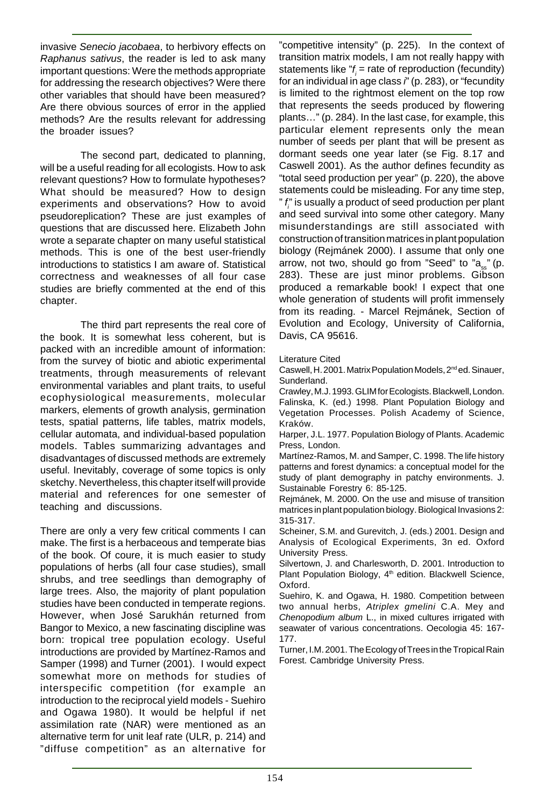invasive Senecio jacobaea, to herbivory effects on Raphanus sativus, the reader is led to ask many important questions: Were the methods appropriate for addressing the research objectives? Were there other variables that should have been measured? Are there obvious sources of error in the applied methods? Are the results relevant for addressing the broader issues?

The second part, dedicated to planning, will be a useful reading for all ecologists. How to ask relevant questions? How to formulate hypotheses? What should be measured? How to design experiments and observations? How to avoid pseudoreplication? These are just examples of questions that are discussed here. Elizabeth John wrote a separate chapter on many useful statistical methods. This is one of the best user-friendly introductions to statistics I am aware of. Statistical correctness and weaknesses of all four case studies are briefly commented at the end of this chapter.

The third part represents the real core of the book. It is somewhat less coherent, but is packed with an incredible amount of information: from the survey of biotic and abiotic experimental treatments, through measurements of relevant environmental variables and plant traits, to useful ecophysiological measurements, molecular markers, elements of growth analysis, germination tests, spatial patterns, life tables, matrix models, cellular automata, and individual-based population models. Tables summarizing advantages and disadvantages of discussed methods are extremely useful. Inevitably, coverage of some topics is only sketchy. Nevertheless, this chapter itself will provide material and references for one semester of teaching and discussions.

There are only a very few critical comments I can make. The first is a herbaceous and temperate bias of the book. Of coure, it is much easier to study populations of herbs (all four case studies), small shrubs, and tree seedlings than demography of large trees. Also, the majority of plant population studies have been conducted in temperate regions. However, when José Sarukhán returned from Bangor to Mexico, a new fascinating discipline was born: tropical tree population ecology. Useful introductions are provided by Martínez-Ramos and Samper (1998) and Turner (2001). I would expect somewhat more on methods for studies of interspecific competition (for example an introduction to the reciprocal yield models - Suehiro and Ogawa 1980). It would be helpful if net assimilation rate (NAR) were mentioned as an alternative term for unit leaf rate (ULR, p. 214) and "diffuse competition" as an alternative for

"competitive intensity" (p. 225). In the context of transition matrix models, I am not really happy with statements like  $r_{i}$  = rate of reproduction (fecundity) for an individual in age class i" (p. 283), or "fecundity is limited to the rightmost element on the top row that represents the seeds produced by flowering plants…" (p. 284). In the last case, for example, this particular element represents only the mean number of seeds per plant that will be present as dormant seeds one year later (se Fig. 8.17 and Caswell 2001). As the author defines fecundity as "total seed production per year" (p. 220), the above statements could be misleading. For any time step, "  $f_{\!\scriptscriptstyle{j}}^{\scriptscriptstyle\prime}$  is usually a product of seed production per plant and seed survival into some other category. Many misunderstandings are still associated with construction of transition matrices in plant population biology (Rejmánek 2000). I assume that only one arrow, not two, should go from "Seed" to " $a_{ss}$ " (p. 283). These are just minor problems. Gibson produced a remarkable book! I expect that one whole generation of students will profit immensely from its reading. - Marcel Rejmánek, Section of Evolution and Ecology, University of California, Davis, CA 95616.

#### Literature Cited

Caswell, H. 2001. Matrix Population Models, 2nd ed. Sinauer, Sunderland.

Crawley, M.J. 1993. GLIM for Ecologists. Blackwell, London. Falinska, K. (ed.) 1998. Plant Population Biology and Vegetation Processes. Polish Academy of Science, Kraków.

Harper, J.L. 1977. Population Biology of Plants. Academic Press, London.

Martínez-Ramos, M. and Samper, C. 1998. The life history patterns and forest dynamics: a conceptual model for the study of plant demography in patchy environments. J. Sustainable Forestry 6: 85-125.

Rejmánek, M. 2000. On the use and misuse of transition matrices in plant population biology. Biological Invasions 2: 315-317.

Scheiner, S.M. and Gurevitch, J. (eds.) 2001. Design and Analysis of Ecological Experiments, 3n ed. Oxford University Press.

Silvertown, J. and Charlesworth, D. 2001. Introduction to Plant Population Biology, 4<sup>th</sup> edition. Blackwell Science, Oxford.

Suehiro, K. and Ogawa, H. 1980. Competition between two annual herbs, Atriplex gmelini C.A. Mey and Chenopodium album L., in mixed cultures irrigated with seawater of various concentrations. Oecologia 45: 167- 177.

Turner, I.M. 2001. The Ecology of Trees in the Tropical Rain Forest. Cambridge University Press.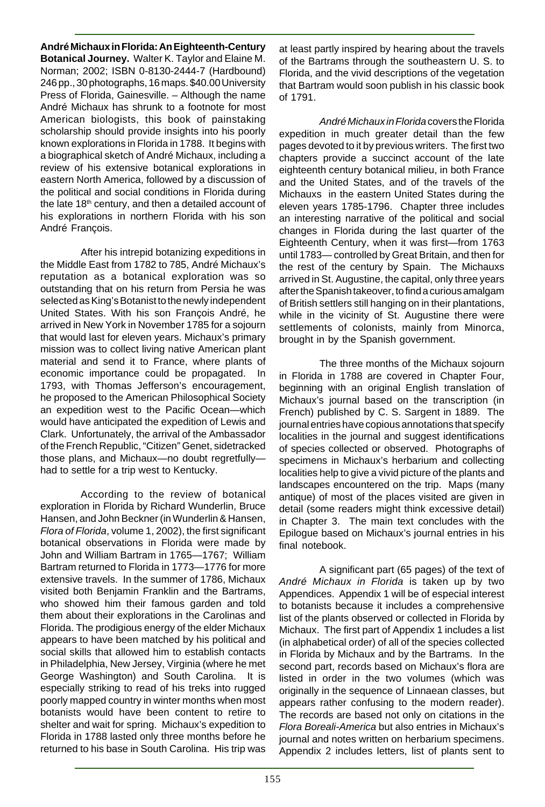#### **André Michaux in Florida: An Eighteenth-Century**

**Botanical Journey.** Walter K. Taylor and Elaine M. Norman; 2002; ISBN 0-8130-2444-7 (Hardbound) 246 pp., 30 photographs, 16 maps. \$40.00 University Press of Florida, Gainesville. – Although the name André Michaux has shrunk to a footnote for most American biologists, this book of painstaking scholarship should provide insights into his poorly known explorations in Florida in 1788. It begins with a biographical sketch of André Michaux, including a review of his extensive botanical explorations in eastern North America, followed by a discussion of the political and social conditions in Florida during the late 18<sup>th</sup> century, and then a detailed account of his explorations in northern Florida with his son André François.

After his intrepid botanizing expeditions in the Middle East from 1782 to 785, André Michaux's reputation as a botanical exploration was so outstanding that on his return from Persia he was selected as King's Botanist to the newly independent United States. With his son François André, he arrived in New York in November 1785 for a sojourn that would last for eleven years. Michaux's primary mission was to collect living native American plant material and send it to France, where plants of economic importance could be propagated. In 1793, with Thomas Jefferson's encouragement, he proposed to the American Philosophical Society an expedition west to the Pacific Ocean—which would have anticipated the expedition of Lewis and Clark. Unfortunately, the arrival of the Ambassador of the French Republic, "Citizen" Genet, sidetracked those plans, and Michaux—no doubt regretfully had to settle for a trip west to Kentucky.

According to the review of botanical exploration in Florida by Richard Wunderlin, Bruce Hansen, and John Beckner (in Wunderlin & Hansen, Flora of Florida, volume 1, 2002), the first significant botanical observations in Florida were made by John and William Bartram in 1765—1767; William Bartram returned to Florida in 1773—1776 for more extensive travels. In the summer of 1786, Michaux visited both Benjamin Franklin and the Bartrams, who showed him their famous garden and told them about their explorations in the Carolinas and Florida. The prodigious energy of the elder Michaux appears to have been matched by his political and social skills that allowed him to establish contacts in Philadelphia, New Jersey, Virginia (where he met George Washington) and South Carolina. It is especially striking to read of his treks into rugged poorly mapped country in winter months when most botanists would have been content to retire to shelter and wait for spring. Michaux's expedition to Florida in 1788 lasted only three months before he returned to his base in South Carolina. His trip was

at least partly inspired by hearing about the travels of the Bartrams through the southeastern U. S. to Florida, and the vivid descriptions of the vegetation that Bartram would soon publish in his classic book of 1791.

André Michaux in Florida covers the Florida expedition in much greater detail than the few pages devoted to it by previous writers. The first two chapters provide a succinct account of the late eighteenth century botanical milieu, in both France and the United States, and of the travels of the Michauxs in the eastern United States during the eleven years 1785-1796. Chapter three includes an interesting narrative of the political and social changes in Florida during the last quarter of the Eighteenth Century, when it was first—from 1763 until 1783— controlled by Great Britain, and then for the rest of the century by Spain. The Michauxs arrived in St. Augustine, the capital, only three years after the Spanish takeover, to find a curious amalgam of British settlers still hanging on in their plantations, while in the vicinity of St. Augustine there were settlements of colonists, mainly from Minorca, brought in by the Spanish government.

The three months of the Michaux sojourn in Florida in 1788 are covered in Chapter Four, beginning with an original English translation of Michaux's journal based on the transcription (in French) published by C. S. Sargent in 1889. The journal entries have copious annotations that specify localities in the journal and suggest identifications of species collected or observed. Photographs of specimens in Michaux's herbarium and collecting localities help to give a vivid picture of the plants and landscapes encountered on the trip. Maps (many antique) of most of the places visited are given in detail (some readers might think excessive detail) in Chapter 3. The main text concludes with the Epilogue based on Michaux's journal entries in his final notebook.

A significant part (65 pages) of the text of André Michaux in Florida is taken up by two Appendices. Appendix 1 will be of especial interest to botanists because it includes a comprehensive list of the plants observed or collected in Florida by Michaux. The first part of Appendix 1 includes a list (in alphabetical order) of all of the species collected in Florida by Michaux and by the Bartrams. In the second part, records based on Michaux's flora are listed in order in the two volumes (which was originally in the sequence of Linnaean classes, but appears rather confusing to the modern reader). The records are based not only on citations in the Flora Boreali-America but also entries in Michaux's journal and notes written on herbarium specimens. Appendix 2 includes letters, list of plants sent to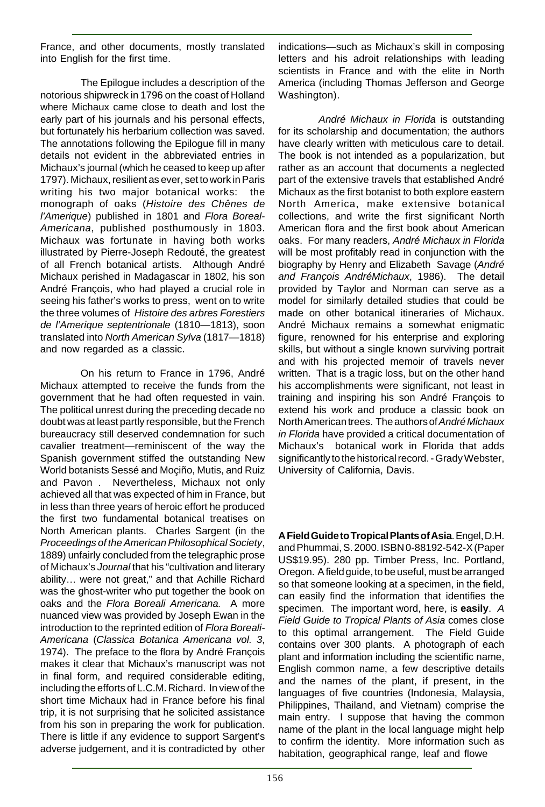France, and other documents, mostly translated into English for the first time.

The Epilogue includes a description of the notorious shipwreck in 1796 on the coast of Holland where Michaux came close to death and lost the early part of his journals and his personal effects, but fortunately his herbarium collection was saved. The annotations following the Epilogue fill in many details not evident in the abbreviated entries in Michaux's journal (which he ceased to keep up after 1797). Michaux, resilient as ever, set to work in Paris writing his two major botanical works: the monograph of oaks (Histoire des Chênes de l'Amerique) published in 1801 and Flora Boreal-Americana, published posthumously in 1803. Michaux was fortunate in having both works illustrated by Pierre-Joseph Redouté, the greatest of all French botanical artists. Although André Michaux perished in Madagascar in 1802, his son André François, who had played a crucial role in seeing his father's works to press, went on to write the three volumes of Histoire des arbres Forestiers de l'Amerique septentrionale (1810—1813), soon translated into North American Sylva (1817—1818) and now regarded as a classic.

On his return to France in 1796, André Michaux attempted to receive the funds from the government that he had often requested in vain. The political unrest during the preceding decade no doubt was at least partly responsible, but the French bureaucracy still deserved condemnation for such cavalier treatment—reminiscent of the way the Spanish government stiffed the outstanding New World botanists Sessé and Moçiño, Mutis, and Ruiz and Pavon . Nevertheless, Michaux not only achieved all that was expected of him in France, but in less than three years of heroic effort he produced the first two fundamental botanical treatises on North American plants. Charles Sargent (in the Proceedings of the American Philosophical Society, 1889) unfairly concluded from the telegraphic prose of Michaux's Journal that his "cultivation and literary ability… were not great," and that Achille Richard was the ghost-writer who put together the book on oaks and the Flora Boreali Americana. A more nuanced view was provided by Joseph Ewan in the introduction to the reprinted edition of Flora Boreali-Americana (Classica Botanica Americana vol. 3, 1974). The preface to the flora by André François makes it clear that Michaux's manuscript was not in final form, and required considerable editing, including the efforts of L.C.M. Richard. In view of the short time Michaux had in France before his final trip, it is not surprising that he solicited assistance from his son in preparing the work for publication. There is little if any evidence to support Sargent's adverse judgement, and it is contradicted by other

indications—such as Michaux's skill in composing letters and his adroit relationships with leading scientists in France and with the elite in North America (including Thomas Jefferson and George Washington).

André Michaux in Florida is outstanding for its scholarship and documentation; the authors have clearly written with meticulous care to detail. The book is not intended as a popularization, but rather as an account that documents a neglected part of the extensive travels that established André Michaux as the first botanist to both explore eastern North America, make extensive botanical collections, and write the first significant North American flora and the first book about American oaks. For many readers, André Michaux in Florida will be most profitably read in conjunction with the biography by Henry and Elizabeth Savage (André and François AndréMichaux, 1986). The detail provided by Taylor and Norman can serve as a model for similarly detailed studies that could be made on other botanical itineraries of Michaux. André Michaux remains a somewhat enigmatic figure, renowned for his enterprise and exploring skills, but without a single known surviving portrait and with his projected memoir of travels never written. That is a tragic loss, but on the other hand his accomplishments were significant, not least in training and inspiring his son André François to extend his work and produce a classic book on North American trees. The authors of André Michaux in Florida have provided a critical documentation of Michaux's botanical work in Florida that adds significantly to the historical record. - Grady Webster, University of California, Davis.

**A Field Guide to Tropical Plants of Asia**. Engel, D.H. and Phummai, S. 2000. ISBN 0-88192-542-X (Paper US\$19.95). 280 pp. Timber Press, Inc. Portland, Oregon. A field guide, to be useful, must be arranged so that someone looking at a specimen, in the field, can easily find the information that identifies the specimen. The important word, here, is **easily**. A Field Guide to Tropical Plants of Asia comes close to this optimal arrangement. The Field Guide contains over 300 plants. A photograph of each plant and information including the scientific name, English common name, a few descriptive details and the names of the plant, if present, in the languages of five countries (Indonesia, Malaysia, Philippines, Thailand, and Vietnam) comprise the main entry. I suppose that having the common name of the plant in the local language might help to confirm the identity. More information such as habitation, geographical range, leaf and flowe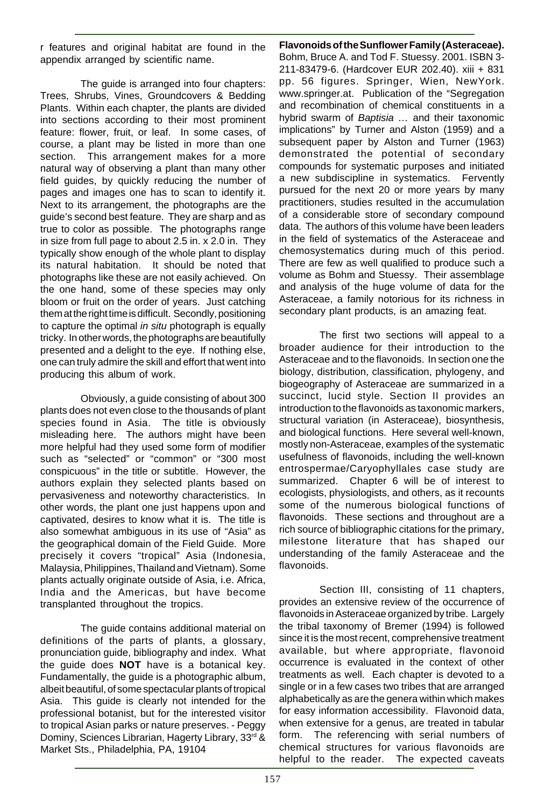r features and original habitat are found in the appendix arranged by scientific name.

The guide is arranged into four chapters: Trees, Shrubs, Vines, Groundcovers & Bedding Plants. Within each chapter, the plants are divided into sections according to their most prominent feature: flower, fruit, or leaf. In some cases, of course, a plant may be listed in more than one section. This arrangement makes for a more natural way of observing a plant than many other field guides, by quickly reducing the number of pages and images one has to scan to identify it. Next to its arrangement, the photographs are the guide's second best feature. They are sharp and as true to color as possible. The photographs range in size from full page to about 2.5 in. x 2.0 in. They typically show enough of the whole plant to display its natural habitation. It should be noted that photographs like these are not easily achieved. On the one hand, some of these species may only bloom or fruit on the order of years. Just catching them at the right time is difficult. Secondly, positioning to capture the optimal in situ photograph is equally tricky. In other words, the photographs are beautifully presented and a delight to the eye. If nothing else, one can truly admire the skill and effort that went into producing this album of work.

Obviously, a guide consisting of about 300 plants does not even close to the thousands of plant species found in Asia. The title is obviously misleading here. The authors might have been more helpful had they used some form of modifier such as "selected" or "common" or "300 most conspicuous" in the title or subtitle. However, the authors explain they selected plants based on pervasiveness and noteworthy characteristics. In other words, the plant one just happens upon and captivated, desires to know what it is. The title is also somewhat ambiguous in its use of "Asia" as the geographical domain of the Field Guide. More precisely it covers "tropical" Asia (Indonesia, Malaysia, Philippines, Thailand and Vietnam). Some plants actually originate outside of Asia, i.e. Africa, India and the Americas, but have become transplanted throughout the tropics.

The guide contains additional material on definitions of the parts of plants, a glossary, pronunciation guide, bibliography and index. What the guide does **NOT** have is a botanical key. Fundamentally, the guide is a photographic album, albeit beautiful, of some spectacular plants of tropical Asia. This guide is clearly not intended for the professional botanist, but for the interested visitor to tropical Asian parks or nature preserves. - Peggy Dominy, Sciences Librarian, Hagerty Library, 33rd & Market Sts., Philadelphia, PA, 19104

**Flavonoids of the Sunflower Family (Asteraceae).** Bohm, Bruce A. and Tod F. Stuessy. 2001. ISBN 3- 211-83479-6. (Hardcover EUR 202.40). xiii + 831 pp. 56 figures. Springer, Wien, NewYork. www.springer.at. Publication of the "Segregation and recombination of chemical constituents in a hybrid swarm of Baptisia ... and their taxonomic implications" by Turner and Alston (1959) and a subsequent paper by Alston and Turner (1963) demonstrated the potential of secondary compounds for systematic purposes and initiated a new subdiscipline in systematics. Fervently pursued for the next 20 or more years by many practitioners, studies resulted in the accumulation of a considerable store of secondary compound data. The authors of this volume have been leaders in the field of systematics of the Asteraceae and chemosystematics during much of this period. There are few as well qualified to produce such a volume as Bohm and Stuessy. Their assemblage and analysis of the huge volume of data for the Asteraceae, a family notorious for its richness in secondary plant products, is an amazing feat.

The first two sections will appeal to a broader audience for their introduction to the Asteraceae and to the flavonoids. In section one the biology, distribution, classification, phylogeny, and biogeography of Asteraceae are summarized in a succinct, lucid style. Section II provides an introduction to the flavonoids as taxonomic markers, structural variation (in Asteraceae), biosynthesis, and biological functions. Here several well-known, mostly non-Asteraceae, examples of the systematic usefulness of flavonoids, including the well-known entrospermae/Caryophyllales case study are summarized. Chapter 6 will be of interest to ecologists, physiologists, and others, as it recounts some of the numerous biological functions of flavonoids. These sections and throughout are a rich source of bibliographic citations for the primary, milestone literature that has shaped our understanding of the family Asteraceae and the flavonoids.

Section III, consisting of 11 chapters, provides an extensive review of the occurrence of flavonoids in Asteraceae organized by tribe. Largely the tribal taxonomy of Bremer (1994) is followed since it is the most recent, comprehensive treatment available, but where appropriate, flavonoid occurrence is evaluated in the context of other treatments as well. Each chapter is devoted to a single or in a few cases two tribes that are arranged alphabetically as are the genera within which makes for easy information accessibility. Flavonoid data, when extensive for a genus, are treated in tabular form. The referencing with serial numbers of chemical structures for various flavonoids are helpful to the reader. The expected caveats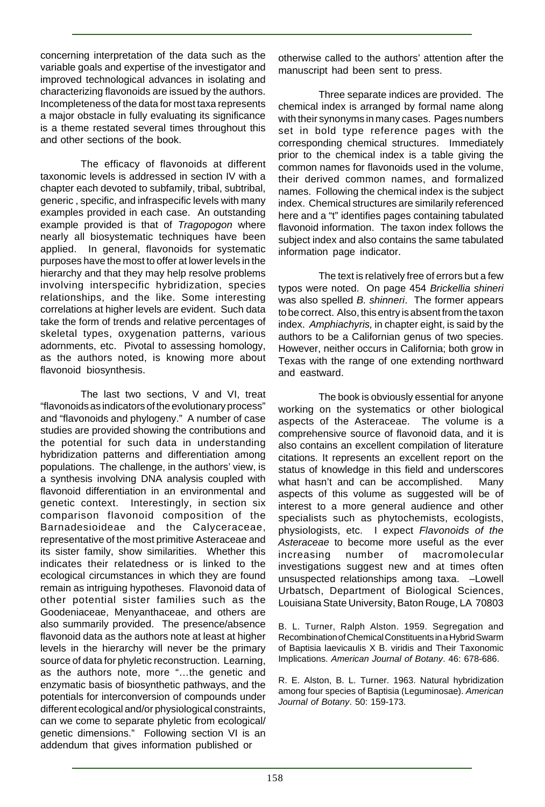concerning interpretation of the data such as the variable goals and expertise of the investigator and improved technological advances in isolating and characterizing flavonoids are issued by the authors. Incompleteness of the data for most taxa represents a major obstacle in fully evaluating its significance is a theme restated several times throughout this and other sections of the book.

The efficacy of flavonoids at different taxonomic levels is addressed in section IV with a chapter each devoted to subfamily, tribal, subtribal, generic , specific, and infraspecific levels with many examples provided in each case. An outstanding example provided is that of Tragopogon where nearly all biosystematic techniques have been applied. In general, flavonoids for systematic purposes have the most to offer at lower levels in the hierarchy and that they may help resolve problems involving interspecific hybridization, species relationships, and the like. Some interesting correlations at higher levels are evident. Such data take the form of trends and relative percentages of skeletal types, oxygenation patterns, various adornments, etc. Pivotal to assessing homology, as the authors noted, is knowing more about flavonoid biosynthesis.

The last two sections, V and VI, treat "flavonoids as indicators of the evolutionary process" and "flavonoids and phylogeny." A number of case studies are provided showing the contributions and the potential for such data in understanding hybridization patterns and differentiation among populations. The challenge, in the authors' view, is a synthesis involving DNA analysis coupled with flavonoid differentiation in an environmental and genetic context. Interestingly, in section six comparison flavonoid composition of the Barnadesioideae and the Calyceraceae, representative of the most primitive Asteraceae and its sister family, show similarities. Whether this indicates their relatedness or is linked to the ecological circumstances in which they are found remain as intriguing hypotheses. Flavonoid data of other potential sister families such as the Goodeniaceae, Menyanthaceae, and others are also summarily provided. The presence/absence flavonoid data as the authors note at least at higher levels in the hierarchy will never be the primary source of data for phyletic reconstruction. Learning, as the authors note, more "…the genetic and enzymatic basis of biosynthetic pathways, and the potentials for interconversion of compounds under different ecological and/or physiological constraints, can we come to separate phyletic from ecological/ genetic dimensions." Following section VI is an addendum that gives information published or

otherwise called to the authors' attention after the manuscript had been sent to press.

Three separate indices are provided. The chemical index is arranged by formal name along with their synonyms in many cases. Pages numbers set in bold type reference pages with the corresponding chemical structures. Immediately prior to the chemical index is a table giving the common names for flavonoids used in the volume, their derived common names, and formalized names. Following the chemical index is the subject index. Chemical structures are similarily referenced here and a "t" identifies pages containing tabulated flavonoid information. The taxon index follows the subject index and also contains the same tabulated information page indicator.

The text is relatively free of errors but a few typos were noted. On page 454 Brickellia shineri was also spelled B. shinneri. The former appears to be correct. Also, this entry is absent from the taxon index. Amphiachyris, in chapter eight, is said by the authors to be a Californian genus of two species. However, neither occurs in California; both grow in Texas with the range of one extending northward and eastward.

The book is obviously essential for anyone working on the systematics or other biological aspects of the Asteraceae. The volume is a comprehensive source of flavonoid data, and it is also contains an excellent compilation of literature citations. It represents an excellent report on the status of knowledge in this field and underscores what hasn't and can be accomplished. Many aspects of this volume as suggested will be of interest to a more general audience and other specialists such as phytochemists, ecologists, physiologists, etc. I expect Flavonoids of the Asteraceae to become more useful as the ever increasing number of macromolecular investigations suggest new and at times often unsuspected relationships among taxa. –Lowell Urbatsch, Department of Biological Sciences, Louisiana State University, Baton Rouge, LA 70803

B. L. Turner, Ralph Alston. 1959. Segregation and Recombination of Chemical Constituents in a Hybrid Swarm of Baptisia laevicaulis X B. viridis and Their Taxonomic Implications. American Journal of Botany. 46: 678-686.

R. E. Alston, B. L. Turner. 1963. Natural hybridization among four species of Baptisia (Leguminosae). American Journal of Botany. 50: 159-173.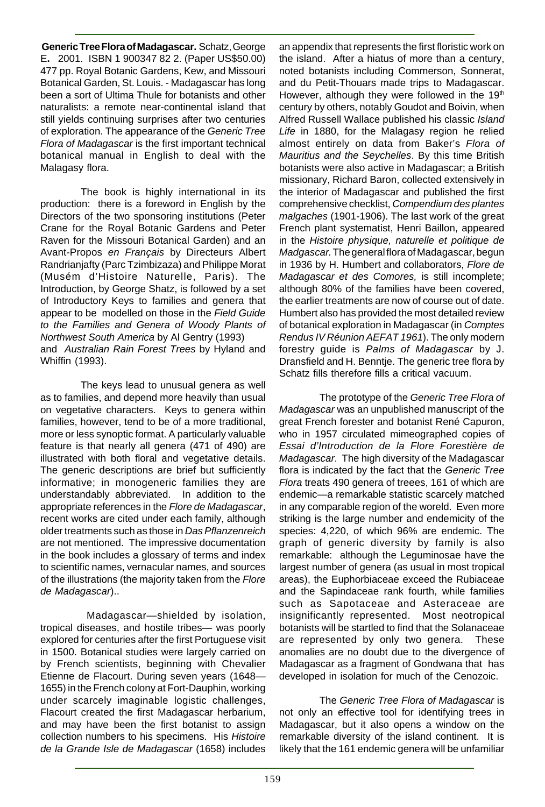**Generic Tree Flora of Madagascar.** Schatz, George E**.** 2001. ISBN 1 900347 82 2. (Paper US\$50.00) 477 pp. Royal Botanic Gardens, Kew, and Missouri Botanical Garden, St. Louis. - Madagascar has long been a sort of Ultima Thule for botanists and other naturalists: a remote near-continental island that still yields continuing surprises after two centuries of exploration. The appearance of the Generic Tree Flora of Madagascar is the first important technical botanical manual in English to deal with the Malagasy flora.

The book is highly international in its production: there is a foreword in English by the Directors of the two sponsoring institutions (Peter Crane for the Royal Botanic Gardens and Peter Raven for the Missouri Botanical Garden) and an Avant-Propos en Français by Directeurs Albert Randrianjafty (Parc Tzimbizaza) and Philippe Morat (Musém d'Histoire Naturelle, Paris). The Introduction, by George Shatz, is followed by a set of Introductory Keys to families and genera that appear to be modelled on those in the Field Guide to the Families and Genera of Woody Plants of Northwest South America by Al Gentry (1993) and Australian Rain Forest Trees by Hyland and Whiffin (1993).

The keys lead to unusual genera as well as to families, and depend more heavily than usual on vegetative characters. Keys to genera within families, however, tend to be of a more traditional, more or less synoptic format. A particularly valuable feature is that nearly all genera (471 of 490) are illustrated with both floral and vegetative details. The generic descriptions are brief but sufficiently informative; in monogeneric families they are understandably abbreviated. In addition to the appropriate references in the Flore de Madagascar, recent works are cited under each family, although older treatments such as those in Das Pflanzenreich are not mentioned. The impressive documentation in the book includes a glossary of terms and index to scientific names, vernacular names, and sources of the illustrations (the majority taken from the Flore de Madagascar)..

 Madagascar—shielded by isolation, tropical diseases, and hostile tribes— was poorly explored for centuries after the first Portuguese visit in 1500. Botanical studies were largely carried on by French scientists, beginning with Chevalier Etienne de Flacourt. During seven years (1648— 1655) in the French colony at Fort-Dauphin, working under scarcely imaginable logistic challenges, Flacourt created the first Madagascar herbarium, and may have been the first botanist to assign collection numbers to his specimens. His Histoire de la Grande Isle de Madagascar (1658) includes an appendix that represents the first floristic work on the island. After a hiatus of more than a century, noted botanists including Commerson, Sonnerat, and du Petit-Thouars made trips to Madagascar. However, although they were followed in the 19th century by others, notably Goudot and Boivin, when Alfred Russell Wallace published his classic Island Life in 1880, for the Malagasy region he relied almost entirely on data from Baker's Flora of Mauritius and the Seychelles. By this time British botanists were also active in Madagascar; a British missionary, Richard Baron, collected extensively in the interior of Madagascar and published the first comprehensive checklist, Compendium des plantes malgaches (1901-1906). The last work of the great French plant systematist, Henri Baillon, appeared in the Histoire physique, naturelle et politique de Madgascar. The general flora of Madagascar, begun in 1936 by H. Humbert and collaborators, Flore de Madagascar et des Comores, is still incomplete; although 80% of the families have been covered, the earlier treatments are now of course out of date. Humbert also has provided the most detailed review of botanical exploration in Madagascar (in Comptes Rendus IV Réunion AEFAT 1961). The only modern forestry guide is Palms of Madagascar by J. Dransfield and H. Benntje. The generic tree flora by Schatz fills therefore fills a critical vacuum.

The prototype of the Generic Tree Flora of Madagascar was an unpublished manuscript of the great French forester and botanist René Capuron, who in 1957 circulated mimeographed copies of Essai d'Introduction de la Flore Forestière de Madagascar. The high diversity of the Madagascar flora is indicated by the fact that the Generic Tree Flora treats 490 genera of treees, 161 of which are endemic—a remarkable statistic scarcely matched in any comparable region of the woreld. Even more striking is the large number and endemicity of the species: 4,220, of which 96% are endemic. The graph of generic diversity by family is also remarkable: although the Leguminosae have the largest number of genera (as usual in most tropical areas), the Euphorbiaceae exceed the Rubiaceae and the Sapindaceae rank fourth, while families such as Sapotaceae and Asteraceae are insignificantly represented. Most neotropical botanists will be startled to find that the Solanaceae are represented by only two genera. These anomalies are no doubt due to the divergence of Madagascar as a fragment of Gondwana that has developed in isolation for much of the Cenozoic.

The Generic Tree Flora of Madagascar is not only an effective tool for identifying trees in Madagascar, but it also opens a window on the remarkable diversity of the island continent. It is likely that the 161 endemic genera will be unfamiliar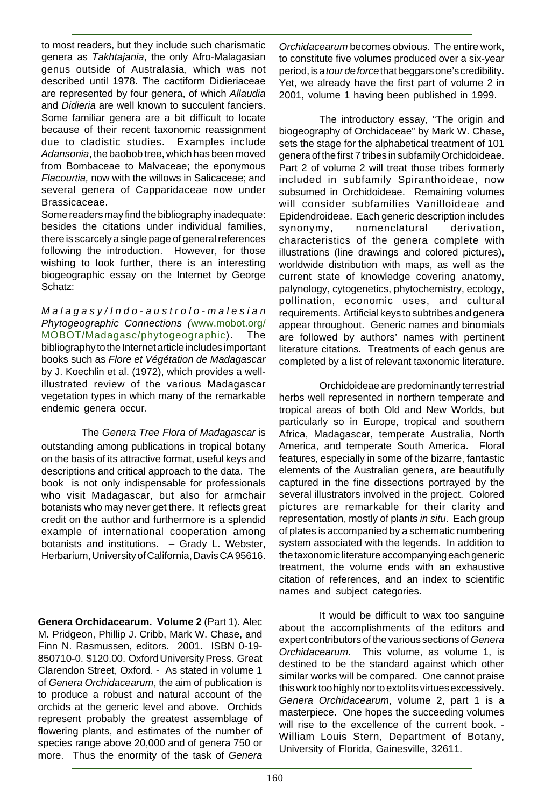to most readers, but they include such charismatic genera as Takhtajania, the only Afro-Malagasian genus outside of Australasia, which was not described until 1978. The cactiform Didieriaceae are represented by four genera, of which Allaudia and Didieria are well known to succulent fanciers. Some familiar genera are a bit difficult to locate because of their recent taxonomic reassignment due to cladistic studies. Examples include Adansonia, the baobob tree, which has been moved from Bombaceae to Malvaceae; the eponymous Flacourtia, now with the willows in Salicaceae; and several genera of Capparidaceae now under Brassicaceae.

Some readers may find the bibliography inadequate: besides the citations under individual families, there is scarcely a single page of general references following the introduction. However, for those wishing to look further, there is an interesting biogeographic essay on the Internet by George Schatz:

Malagasy/Indo-austrolo-malesian Phytogeographic Connections (www.mobot.org/ MOBOT/Madagasc/phytogeographic). The bibliography to the Internet article includes important books such as Flore et Végétation de Madagascar by J. Koechlin et al. (1972), which provides a wellillustrated review of the various Madagascar vegetation types in which many of the remarkable endemic genera occur.

#### The Genera Tree Flora of Madagascar is

outstanding among publications in tropical botany on the basis of its attractive format, useful keys and descriptions and critical approach to the data. The book is not only indispensable for professionals who visit Madagascar, but also for armchair botanists who may never get there. It reflects great credit on the author and furthermore is a splendid example of international cooperation among botanists and institutions. – Grady L. Webster, Herbarium, University of California, Davis CA 95616.

**Genera Orchidacearum. Volume 2** (Part 1). Alec M. Pridgeon, Phillip J. Cribb, Mark W. Chase, and Finn N. Rasmussen, editors. 2001. ISBN 0-19- 850710-0. \$120.00. Oxford University Press. Great Clarendon Street, Oxford. - As stated in volume 1 of Genera Orchidacearum, the aim of publication is to produce a robust and natural account of the orchids at the generic level and above. Orchids represent probably the greatest assemblage of flowering plants, and estimates of the number of species range above 20,000 and of genera 750 or more. Thus the enormity of the task of Genera Orchidacearum becomes obvious. The entire work, to constitute five volumes produced over a six-year period, is a *tour de force* that beggars one's credibility. Yet, we already have the first part of volume 2 in 2001, volume 1 having been published in 1999.

The introductory essay, "The origin and biogeography of Orchidaceae" by Mark W. Chase, sets the stage for the alphabetical treatment of 101 genera of the first 7 tribes in subfamily Orchidoideae. Part 2 of volume 2 will treat those tribes formerly included in subfamily Spiranthoideae, now subsumed in Orchidoideae. Remaining volumes will consider subfamilies Vanilloideae and Epidendroideae. Each generic description includes synonymy, nomenclatural derivation, characteristics of the genera complete with illustrations (line drawings and colored pictures), worldwide distribution with maps, as well as the current state of knowledge covering anatomy, palynology, cytogenetics, phytochemistry, ecology, pollination, economic uses, and cultural requirements. Artificial keys to subtribes and genera appear throughout. Generic names and binomials are followed by authors' names with pertinent literature citations. Treatments of each genus are completed by a list of relevant taxonomic literature.

Orchidoideae are predominantly terrestrial herbs well represented in northern temperate and tropical areas of both Old and New Worlds, but particularly so in Europe, tropical and southern Africa, Madagascar, temperate Australia, North America, and temperate South America. Floral features, especially in some of the bizarre, fantastic elements of the Australian genera, are beautifully captured in the fine dissections portrayed by the several illustrators involved in the project. Colored pictures are remarkable for their clarity and representation, mostly of plants in situ. Each group of plates is accompanied by a schematic numbering system associated with the legends. In addition to the taxonomic literature accompanying each generic treatment, the volume ends with an exhaustive citation of references, and an index to scientific names and subject categories.

It would be difficult to wax too sanguine about the accomplishments of the editors and expert contributors of the various sections of Genera Orchidacearum. This volume, as volume 1, is destined to be the standard against which other similar works will be compared. One cannot praise this work too highly nor to extol its virtues excessively. Genera Orchidacearum, volume 2, part 1 is a masterpiece. One hopes the succeeding volumes will rise to the excellence of the current book. - William Louis Stern, Department of Botany, University of Florida, Gainesville, 32611.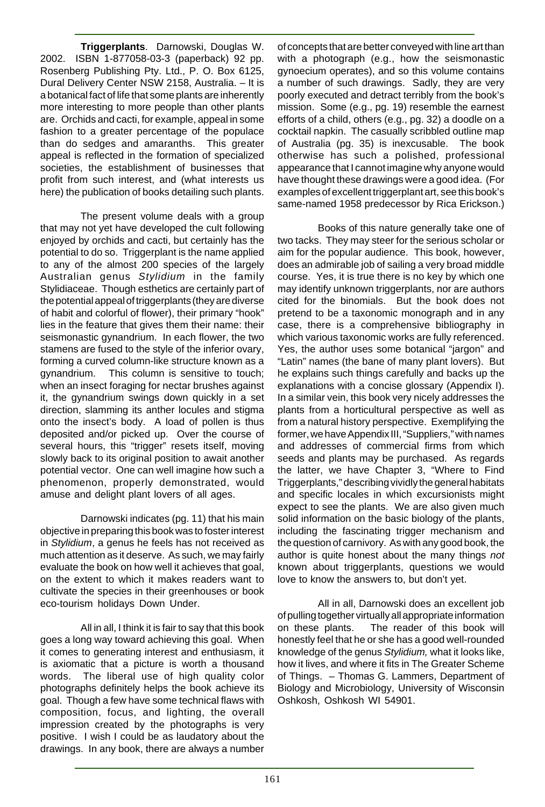**Triggerplants**. Darnowski, Douglas W. 2002. ISBN 1-877058-03-3 (paperback) 92 pp. Rosenberg Publishing Pty. Ltd., P. O. Box 6125, Dural Delivery Center NSW 2158, Australia. – It is a botanical fact of life that some plants are inherently more interesting to more people than other plants are. Orchids and cacti, for example, appeal in some fashion to a greater percentage of the populace than do sedges and amaranths. This greater appeal is reflected in the formation of specialized societies, the establishment of businesses that profit from such interest, and (what interests us here) the publication of books detailing such plants.

The present volume deals with a group that may not yet have developed the cult following enjoyed by orchids and cacti, but certainly has the potential to do so. Triggerplant is the name applied to any of the almost 200 species of the largely Australian genus Stylidium in the family Stylidiaceae. Though esthetics are certainly part of the potential appeal of triggerplants (they are diverse of habit and colorful of flower), their primary "hook" lies in the feature that gives them their name: their seismonastic gynandrium. In each flower, the two stamens are fused to the style of the inferior ovary, forming a curved column-like structure known as a gynandrium. This column is sensitive to touch; when an insect foraging for nectar brushes against it, the gynandrium swings down quickly in a set direction, slamming its anther locules and stigma onto the insect's body. A load of pollen is thus deposited and/or picked up. Over the course of several hours, this "trigger" resets itself, moving slowly back to its original position to await another potential vector. One can well imagine how such a phenomenon, properly demonstrated, would amuse and delight plant lovers of all ages.

Darnowski indicates (pg. 11) that his main objective in preparing this book was to foster interest in Stylidium, a genus he feels has not received as much attention as it deserve. As such, we may fairly evaluate the book on how well it achieves that goal, on the extent to which it makes readers want to cultivate the species in their greenhouses or book eco-tourism holidays Down Under.

All in all, I think it is fair to say that this book goes a long way toward achieving this goal. When it comes to generating interest and enthusiasm, it is axiomatic that a picture is worth a thousand words. The liberal use of high quality color photographs definitely helps the book achieve its goal. Though a few have some technical flaws with composition, focus, and lighting, the overall impression created by the photographs is very positive. I wish I could be as laudatory about the drawings. In any book, there are always a number of concepts that are better conveyed with line art than with a photograph (e.g., how the seismonastic gynoecium operates), and so this volume contains a number of such drawings. Sadly, they are very poorly executed and detract terribly from the book's mission. Some (e.g., pg. 19) resemble the earnest efforts of a child, others (e.g., pg. 32) a doodle on a cocktail napkin. The casually scribbled outline map of Australia (pg. 35) is inexcusable. The book otherwise has such a polished, professional appearance that I cannot imagine why anyone would have thought these drawings were a good idea. (For examples of excellent triggerplant art, see this book's same-named 1958 predecessor by Rica Erickson.)

Books of this nature generally take one of two tacks. They may steer for the serious scholar or aim for the popular audience. This book, however, does an admirable job of sailing a very broad middle course. Yes, it is true there is no key by which one may identify unknown triggerplants, nor are authors cited for the binomials. But the book does not pretend to be a taxonomic monograph and in any case, there is a comprehensive bibliography in which various taxonomic works are fully referenced. Yes, the author uses some botanical "jargon" and "Latin" names (the bane of many plant lovers). But he explains such things carefully and backs up the explanations with a concise glossary (Appendix I). In a similar vein, this book very nicely addresses the plants from a horticultural perspective as well as from a natural history perspective. Exemplifying the former, we have Appendix III, "Suppliers," with names and addresses of commercial firms from which seeds and plants may be purchased. As regards the latter, we have Chapter 3, "Where to Find Triggerplants," describing vividly the general habitats and specific locales in which excursionists might expect to see the plants. We are also given much solid information on the basic biology of the plants, including the fascinating trigger mechanism and the question of carnivory. As with any good book, the author is quite honest about the many things not known about triggerplants, questions we would love to know the answers to, but don't yet.

All in all, Darnowski does an excellent job of pulling together virtually all appropriate information on these plants. The reader of this book will honestly feel that he or she has a good well-rounded knowledge of the genus Stylidium, what it looks like, how it lives, and where it fits in The Greater Scheme of Things. – Thomas G. Lammers, Department of Biology and Microbiology, University of Wisconsin Oshkosh, Oshkosh WI 54901.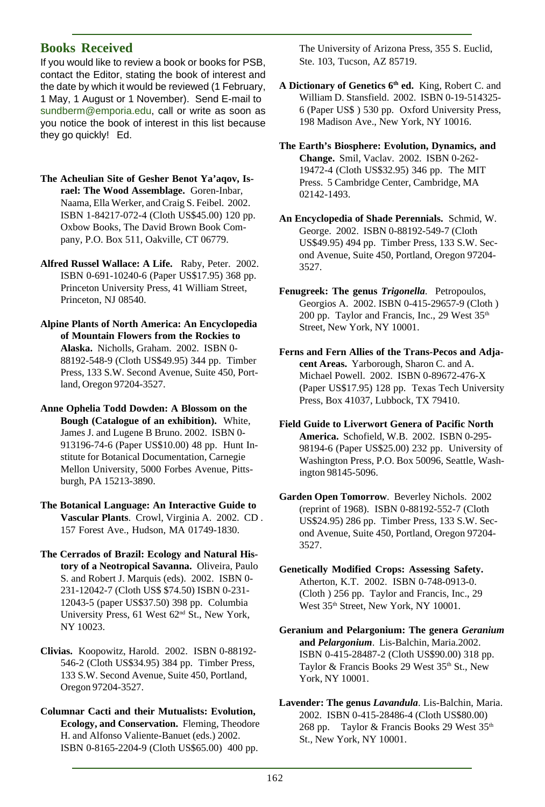#### **Books Received**

If you would like to review a book or books for PSB, contact the Editor, stating the book of interest and the date by which it would be reviewed (1 February, 1 May, 1 August or 1 November). Send E-mail to sundberm@emporia.edu, call or write as soon as you notice the book of interest in this list because they go quickly! Ed.

- **The Acheulian Site of Gesher Benot Ya'aqov, Israel: The Wood Assemblage.** Goren-Inbar, Naama, Ella Werker, and Craig S. Feibel. 2002. ISBN 1-84217-072-4 (Cloth US\$45.00) 120 pp. Oxbow Books, The David Brown Book Company, P.O. Box 511, Oakville, CT 06779.
- **Alfred Russel Wallace: A Life.** Raby, Peter. 2002. ISBN 0-691-10240-6 (Paper US\$17.95) 368 pp. Princeton University Press, 41 William Street, Princeton, NJ 08540.
- **Alpine Plants of North America: An Encyclopedia of Mountain Flowers from the Rockies to Alaska.** Nicholls, Graham. 2002. ISBN 0- 88192-548-9 (Cloth US\$49.95) 344 pp. Timber Press, 133 S.W. Second Avenue, Suite 450, Portland, Oregon 97204-3527.
- **Anne Ophelia Todd Dowden: A Blossom on the Bough (Catalogue of an exhibition).** White, James J. and Lugene B Bruno. 2002. ISBN 0- 913196-74-6 (Paper US\$10.00) 48 pp. Hunt Institute for Botanical Documentation, Carnegie Mellon University, 5000 Forbes Avenue, Pittsburgh, PA 15213-3890.
- **The Botanical Language: An Interactive Guide to Vascular Plants**. Crowl, Virginia A. 2002. CD . 157 Forest Ave., Hudson, MA 01749-1830.
- **The Cerrados of Brazil: Ecology and Natural History of a Neotropical Savanna.** Oliveira, Paulo S. and Robert J. Marquis (eds). 2002. ISBN 0- 231-12042-7 (Cloth US\$ \$74.50) ISBN 0-231- 12043-5 (paper US\$37.50) 398 pp. Columbia University Press, 61 West 62nd St., New York, NY 10023.
- **Clivias.** Koopowitz, Harold. 2002. ISBN 0-88192- 546-2 (Cloth US\$34.95) 384 pp. Timber Press, 133 S.W. Second Avenue, Suite 450, Portland, Oregon 97204-3527.
- **Columnar Cacti and their Mutualists: Evolution, Ecology, and Conservation.** Fleming, Theodore H. and Alfonso Valiente-Banuet (eds.) 2002. ISBN 0-8165-2204-9 (Cloth US\$65.00) 400 pp.

The University of Arizona Press, 355 S. Euclid, Ste. 103, Tucson, AZ 85719.

- **A Dictionary of Genetics 6th ed.** King, Robert C. and William D. Stansfield. 2002. ISBN 0-19-514325- 6 (Paper US\$ ) 530 pp. Oxford University Press, 198 Madison Ave., New York, NY 10016.
- **The Earth's Biosphere: Evolution, Dynamics, and Change.** Smil, Vaclav. 2002. ISBN 0-262- 19472-4 (Cloth US\$32.95) 346 pp. The MIT Press. 5 Cambridge Center, Cambridge, MA 02142-1493.
- **An Encyclopedia of Shade Perennials.** Schmid, W. George. 2002. ISBN 0-88192-549-7 (Cloth US\$49.95) 494 pp. Timber Press, 133 S.W. Second Avenue, Suite 450, Portland, Oregon 97204- 3527.
- **Fenugreek: The genus** *Trigonella*. Petropoulos, Georgios A. 2002. ISBN 0-415-29657-9 (Cloth ) 200 pp. Taylor and Francis, Inc., 29 West 35<sup>th</sup> Street, New York, NY 10001.
- **Ferns and Fern Allies of the Trans-Pecos and Adjacent Areas.** Yarborough, Sharon C. and A. Michael Powell. 2002. ISBN 0-89672-476-X (Paper US\$17.95) 128 pp. Texas Tech University Press, Box 41037, Lubbock, TX 79410.
- **Field Guide to Liverwort Genera of Pacific North America.** Schofield, W.B. 2002. ISBN 0-295- 98194-6 (Paper US\$25.00) 232 pp. University of Washington Press, P.O. Box 50096, Seattle, Washington 98145-5096.
- **Garden Open Tomorrow**. Beverley Nichols. 2002 (reprint of 1968). ISBN 0-88192-552-7 (Cloth US\$24.95) 286 pp. Timber Press, 133 S.W. Second Avenue, Suite 450, Portland, Oregon 97204- 3527.
- **Genetically Modified Crops: Assessing Safety.** Atherton, K.T. 2002. ISBN 0-748-0913-0. (Cloth ) 256 pp. Taylor and Francis, Inc., 29 West 35<sup>th</sup> Street, New York, NY 10001.
- **Geranium and Pelargonium: The genera** *Geranium* **and** *Pelargonium*. Lis-Balchin, Maria.2002. ISBN 0-415-28487-2 (Cloth US\$90.00) 318 pp. Taylor & Francis Books 29 West 35<sup>th</sup> St., New York, NY 10001.
- **Lavender: The genus** *Lavandula*. Lis-Balchin, Maria. 2002. ISBN 0-415-28486-4 (Cloth US\$80.00) 268 pp. Taylor & Francis Books 29 West 35<sup>th</sup> St., New York, NY 10001.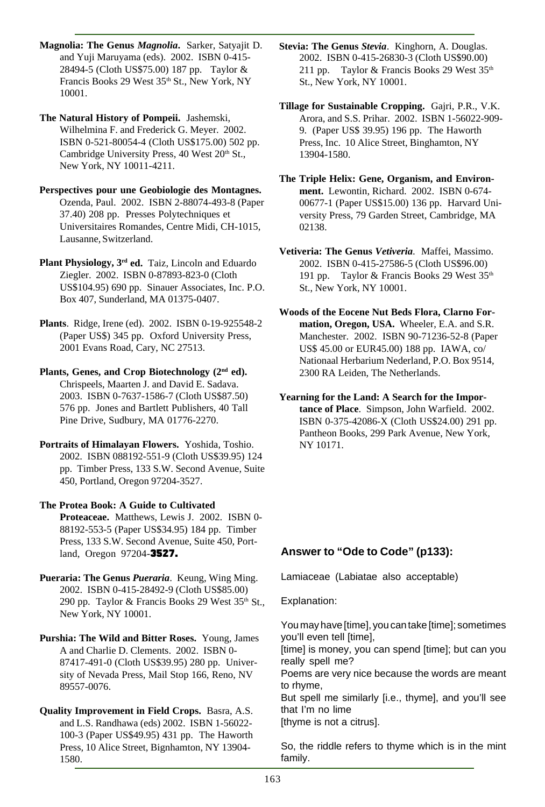**Magnolia: The Genus** *Magnolia***.** Sarker, Satyajit D. and Yuji Maruyama (eds). 2002. ISBN 0-415- 28494-5 (Cloth US\$75.00) 187 pp. Taylor & Francis Books 29 West 35<sup>th</sup> St., New York, NY 10001.

**The Natural History of Pompeii.** Jashemski, Wilhelmina F. and Frederick G. Meyer. 2002. ISBN 0-521-80054-4 (Cloth US\$175.00) 502 pp. Cambridge University Press, 40 West 20th St., New York, NY 10011-4211.

**Perspectives pour une Geobiologie des Montagnes.** Ozenda, Paul. 2002. ISBN 2-88074-493-8 (Paper 37.40) 208 pp. Presses Polytechniques et Universitaires Romandes, Centre Midi, CH-1015, Lausanne, Switzerland.

Plant Physiology, 3<sup>rd</sup> ed. Taiz, Lincoln and Eduardo Ziegler. 2002. ISBN 0-87893-823-0 (Cloth US\$104.95) 690 pp. Sinauer Associates, Inc. P.O. Box 407, Sunderland, MA 01375-0407.

**Plants**. Ridge, Irene (ed). 2002. ISBN 0-19-925548-2 (Paper US\$) 345 pp. Oxford University Press, 2001 Evans Road, Cary, NC 27513.

Plants, Genes, and Crop Biotechnology (2<sup>nd</sup> ed). Chrispeels, Maarten J. and David E. Sadava. 2003. ISBN 0-7637-1586-7 (Cloth US\$87.50) 576 pp. Jones and Bartlett Publishers, 40 Tall Pine Drive, Sudbury, MA 01776-2270.

**Portraits of Himalayan Flowers.** Yoshida, Toshio. 2002. ISBN 088192-551-9 (Cloth US\$39.95) 124 pp. Timber Press, 133 S.W. Second Avenue, Suite 450, Portland, Oregon 97204-3527.

**The Protea Book: A Guide to Cultivated Proteaceae.** Matthews, Lewis J. 2002. ISBN 0- 88192-553-5 (Paper US\$34.95) 184 pp. Timber Press, 133 S.W. Second Avenue, Suite 450, Portland, Oregon 97204-3527.

**Pueraria: The Genus** *Pueraria*. Keung, Wing Ming. 2002. ISBN 0-415-28492-9 (Cloth US\$85.00) 290 pp. Taylor & Francis Books 29 West  $35<sup>th</sup>$  St., New York, NY 10001.

**Purshia: The Wild and Bitter Roses.** Young, James A and Charlie D. Clements. 2002. ISBN 0- 87417-491-0 (Cloth US\$39.95) 280 pp. University of Nevada Press, Mail Stop 166, Reno, NV 89557-0076.

**Quality Improvement in Field Crops.** Basra, A.S. and L.S. Randhawa (eds) 2002. ISBN 1-56022- 100-3 (Paper US\$49.95) 431 pp. The Haworth Press, 10 Alice Street, Bignhamton, NY 13904- 1580.

**Stevia: The Genus** *Stevia*. Kinghorn, A. Douglas. 2002. ISBN 0-415-26830-3 (Cloth US\$90.00) 211 pp. Taylor & Francis Books 29 West  $35<sup>th</sup>$ St., New York, NY 10001.

**Tillage for Sustainable Cropping.** Gajri, P.R., V.K. Arora, and S.S. Prihar. 2002. ISBN 1-56022-909- 9. (Paper US\$ 39.95) 196 pp. The Haworth Press, Inc. 10 Alice Street, Binghamton, NY 13904-1580.

**The Triple Helix: Gene, Organism, and Environment.** Lewontin, Richard. 2002. ISBN 0-674- 00677-1 (Paper US\$15.00) 136 pp. Harvard University Press, 79 Garden Street, Cambridge, MA 02138.

**Vetiveria: The Genus** *Vetiveria*. Maffei, Massimo. 2002. ISBN 0-415-27586-5 (Cloth US\$96.00) 191 pp. Taylor & Francis Books 29 West 35<sup>th</sup> St., New York, NY 10001.

**Woods of the Eocene Nut Beds Flora, Clarno Formation, Oregon, USA.** Wheeler, E.A. and S.R. Manchester. 2002. ISBN 90-71236-52-8 (Paper US\$ 45.00 or EUR45.00) 188 pp. IAWA, co/ Nationaal Herbarium Nederland, P.O. Box 9514, 2300 RA Leiden, The Netherlands.

**Yearning for the Land: A Search for the Importance of Place**. Simpson, John Warfield. 2002. ISBN 0-375-42086-X (Cloth US\$24.00) 291 pp. Pantheon Books, 299 Park Avenue, New York, NY 10171.

#### **Answer to "Ode to Code" (p133):**

Lamiaceae (Labiatae also acceptable)

Explanation:

You may have [time], you can take [time]; sometimes you'll even tell [time],

[time] is money, you can spend [time]; but can you really spell me?

Poems are very nice because the words are meant to rhyme,

But spell me similarly [i.e., thyme], and you'll see that I'm no lime

[thyme is not a citrus].

So, the riddle refers to thyme which is in the mint family.